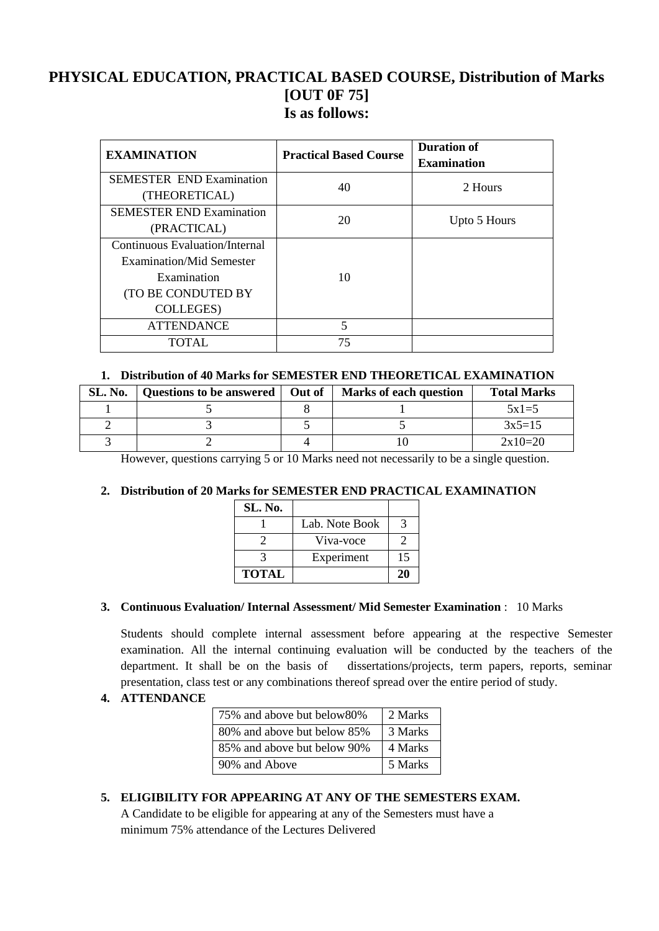### **PHYSICAL EDUCATION, PRACTICAL BASED COURSE, Distribution of Marks [OUT 0F 75] Is as follows:**

| <b>EXAMINATION</b>              | <b>Practical Based Course</b> | <b>Duration of</b><br><b>Examination</b> |
|---------------------------------|-------------------------------|------------------------------------------|
| <b>SEMESTER END Examination</b> | 40                            | 2 Hours                                  |
| (THEORETICAL)                   |                               |                                          |
| <b>SEMESTER END Examination</b> | 20                            | Upto 5 Hours                             |
| (PRACTICAL)                     |                               |                                          |
| Continuous Evaluation/Internal  |                               |                                          |
| Examination/Mid Semester        |                               |                                          |
| Examination                     | 10                            |                                          |
| (TO BE CONDUTED BY              |                               |                                          |
| <b>COLLEGES</b> )               |                               |                                          |
| <b>ATTENDANCE</b>               | 5                             |                                          |
| TOTAL.                          | 75                            |                                          |

#### **1. Distribution of 40 Marks for SEMESTER END THEORETICAL EXAMINATION**

| SL. No. | Questions to be answered   Out of | <b>Marks of each question</b> | <b>Total Marks</b> |
|---------|-----------------------------------|-------------------------------|--------------------|
|         |                                   |                               | $5x1=5$            |
|         |                                   |                               | $3x5=15$           |
|         |                                   |                               | $2x10=20$          |

However, questions carrying 5 or 10 Marks need not necessarily to be a single question.

#### **2. Distribution of 20 Marks for SEMESTER END PRACTICAL EXAMINATION**

| SL. No.      |                |    |
|--------------|----------------|----|
|              | Lab. Note Book |    |
|              | Viva-voce      |    |
|              | Experiment     | 15 |
| <b>TOTAL</b> |                | 20 |

#### **3. Continuous Evaluation/ Internal Assessment/ Mid Semester Examination** : 10 Marks

Students should complete internal assessment before appearing at the respective Semester examination. All the internal continuing evaluation will be conducted by the teachers of the department. It shall be on the basis of dissertations/projects, term papers, reports, seminar presentation, class test or any combinations thereof spread over the entire period of study.

**4. ATTENDANCE**

| 75% and above but below 80% | 2 Marks |
|-----------------------------|---------|
| 80% and above but below 85% | 3 Marks |
| 85% and above but below 90% | 4 Marks |
| 90% and Above               | 5 Marks |

**5. ELIGIBILITY FOR APPEARING AT ANY OF THE SEMESTERS EXAM.**

A Candidate to be eligible for appearing at any of the Semesters must have a minimum 75% attendance of the Lectures Delivered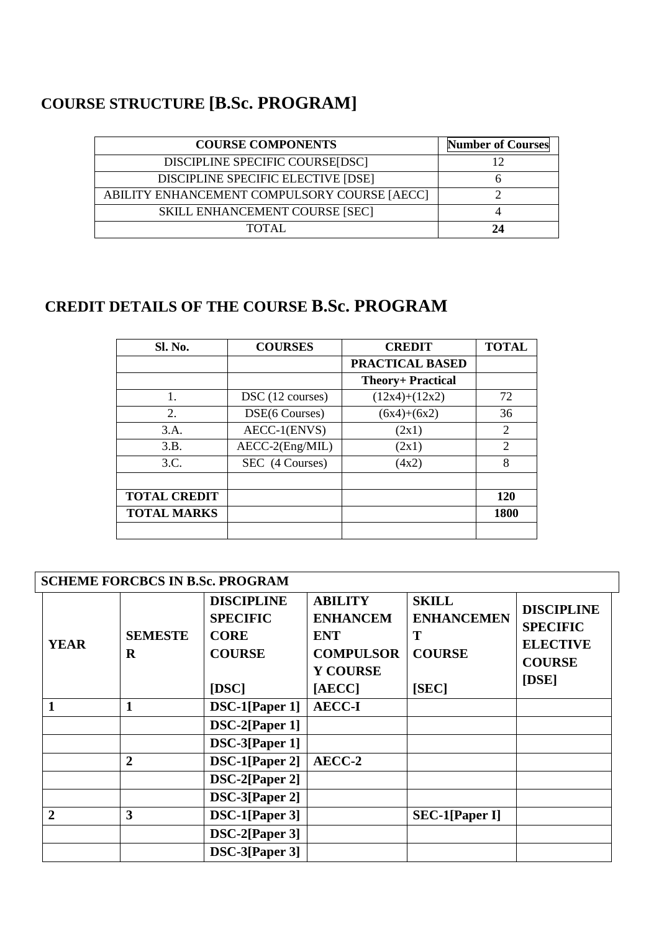# **COURSE STRUCTURE [B.Sc. PROGRAM]**

| <b>COURSE COMPONENTS</b>                     | <b>Number of Courses</b> |
|----------------------------------------------|--------------------------|
| DISCIPLINE SPECIFIC COURSE[DSC]              |                          |
| DISCIPLINE SPECIFIC ELECTIVE [DSE]           |                          |
| ABILITY ENHANCEMENT COMPULSORY COURSE [AECC] |                          |
| <b>SKILL ENHANCEMENT COURSE [SEC]</b>        |                          |
| TOTAL.                                       | 74                       |

# **CREDIT DETAILS OF THE COURSE B.Sc. PROGRAM**

| Sl. No.             | <b>COURSES</b>   | <b>CREDIT</b>            | <b>TOTAL</b> |
|---------------------|------------------|--------------------------|--------------|
|                     |                  | <b>PRACTICAL BASED</b>   |              |
|                     |                  | <b>Theory+ Practical</b> |              |
| 1.                  | DSC (12 courses) | $(12x4)+(12x2)$          | 72           |
| 2.                  | DSE(6 Courses)   | $(6x4)+(6x2)$            | 36           |
| 3.A.                | AECC-1(ENVS)     | (2x1)                    | 2            |
| 3.B.                | AECC-2(Eng/MIL)  | (2x1)                    | 2            |
| 3.C.                | SEC (4 Courses)  | (4x2)                    | 8            |
|                     |                  |                          |              |
| <b>TOTAL CREDIT</b> |                  |                          | 120          |
| <b>TOTAL MARKS</b>  |                  |                          | <b>1800</b>  |
|                     |                  |                          |              |

|                |                           | <b>SCHEME FORCBCS IN B.Sc. PROGRAM</b>                                                     |                                                                                                  |                                                                  |                                                                                                |
|----------------|---------------------------|--------------------------------------------------------------------------------------------|--------------------------------------------------------------------------------------------------|------------------------------------------------------------------|------------------------------------------------------------------------------------------------|
| <b>YEAR</b>    | <b>SEMESTE</b><br>$\bf R$ | <b>DISCIPLINE</b><br><b>SPECIFIC</b><br><b>CORE</b><br><b>COURSE</b><br>$[$ <b>DSC</b> $]$ | <b>ABILITY</b><br><b>ENHANCEM</b><br><b>ENT</b><br><b>COMPULSOR</b><br><b>Y COURSE</b><br>[AECC] | <b>SKILL</b><br><b>ENHANCEMEN</b><br>Т<br><b>COURSE</b><br>[SEC] | <b>DISCIPLINE</b><br><b>SPECIFIC</b><br><b>ELECTIVE</b><br><b>COURSE</b><br>$[$ <b>DSE</b> $]$ |
| 1              | $\mathbf{1}$              | DSC-1[Paper 1]                                                                             | <b>AECC-I</b>                                                                                    |                                                                  |                                                                                                |
|                |                           | DSC-2[Paper 1]                                                                             |                                                                                                  |                                                                  |                                                                                                |
|                |                           | DSC-3[Paper 1]                                                                             |                                                                                                  |                                                                  |                                                                                                |
|                | $\overline{2}$            | DSC-1[Paper 2]                                                                             | AECC-2                                                                                           |                                                                  |                                                                                                |
|                |                           | DSC-2[Paper 2]                                                                             |                                                                                                  |                                                                  |                                                                                                |
|                |                           | DSC-3[Paper 2]                                                                             |                                                                                                  |                                                                  |                                                                                                |
| $\overline{2}$ | 3                         | DSC-1[Paper 3]                                                                             |                                                                                                  | <b>SEC-1[Paper I]</b>                                            |                                                                                                |
|                |                           | DSC-2[Paper 3]                                                                             |                                                                                                  |                                                                  |                                                                                                |
|                |                           | DSC-3[Paper 3]                                                                             |                                                                                                  |                                                                  |                                                                                                |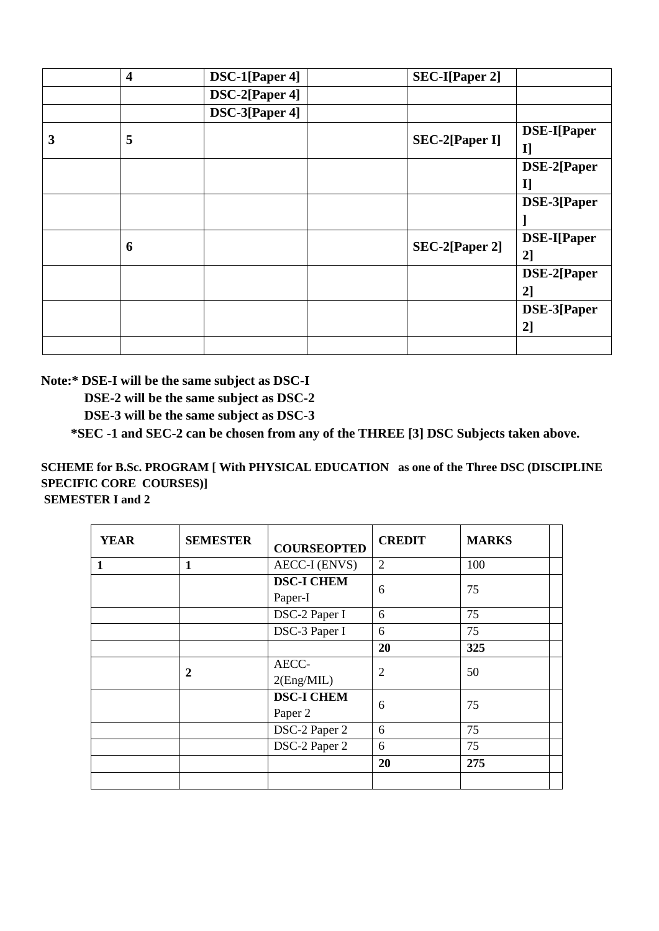|   | $\overline{\mathbf{4}}$ | DSC-1[Paper 4] | <b>SEC-I</b> [Paper 2] |                    |
|---|-------------------------|----------------|------------------------|--------------------|
|   |                         | DSC-2[Paper 4] |                        |                    |
|   |                         | DSC-3[Paper 4] |                        |                    |
| 3 | 5                       |                | <b>SEC-2[Paper I]</b>  | <b>DSE-I[Paper</b> |
|   |                         |                |                        | I                  |
|   |                         |                |                        | DSE-2[Paper        |
|   |                         |                |                        | IJ                 |
|   |                         |                |                        | DSE-3[Paper        |
|   |                         |                |                        |                    |
|   | 6                       |                | SEC-2[Paper 2]         | <b>DSE-I[Paper</b> |
|   |                         |                |                        | 2                  |
|   |                         |                |                        | DSE-2[Paper        |
|   |                         |                |                        | 2]                 |
|   |                         |                |                        | DSE-3[Paper        |
|   |                         |                |                        | 2                  |
|   |                         |                |                        |                    |

**Note:\* DSE-I will be the same subject as DSC-I**

 **DSE-2 will be the same subject as DSC-2**

 **DSE-3 will be the same subject as DSC-3**

 **\*SEC -1 and SEC-2 can be chosen from any of the THREE [3] DSC Subjects taken above.**

**SCHEME for B.Sc. PROGRAM [ With PHYSICAL EDUCATION as one of the Three DSC (DISCIPLINE SPECIFIC CORE COURSES)] SEMESTER I and 2**

| <b>YEAR</b>  | <b>SEMESTER</b> | <b>COURSEOPTED</b>           | <b>CREDIT</b>  | <b>MARKS</b> |  |
|--------------|-----------------|------------------------------|----------------|--------------|--|
| $\mathbf{1}$ | 1               | <b>AECC-I (ENVS)</b>         | $\overline{2}$ | 100          |  |
|              |                 | <b>DSC-I CHEM</b><br>Paper-I | 6              | 75           |  |
|              |                 | DSC-2 Paper I                | 6              | 75           |  |
|              |                 | DSC-3 Paper I                | 6              | 75           |  |
|              |                 |                              | 20             | 325          |  |
|              | 2               | AECC-<br>2(Eng/MIL)          | $\overline{2}$ | 50           |  |
|              |                 | <b>DSC-I CHEM</b><br>Paper 2 | 6              | 75           |  |
|              |                 | DSC-2 Paper 2                | 6              | 75           |  |
|              |                 | DSC-2 Paper 2                | 6              | 75           |  |
|              |                 |                              | 20             | 275          |  |
|              |                 |                              |                |              |  |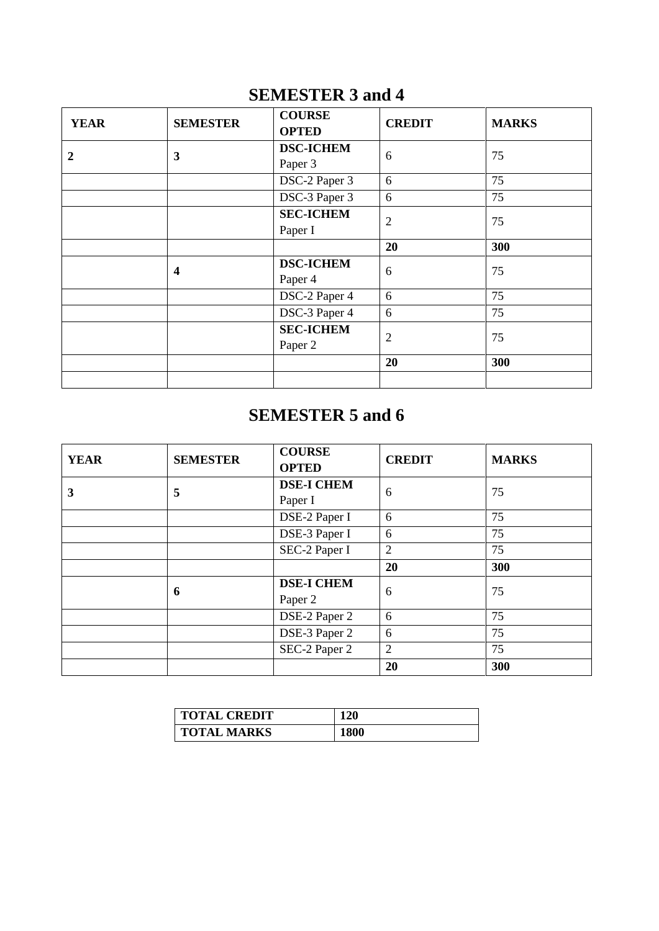# **SEMESTER 3 and 4**

| <b>YEAR</b> | <b>SEMESTER</b>         | <b>COURSE</b>    | <b>CREDIT</b>  | <b>MARKS</b> |
|-------------|-------------------------|------------------|----------------|--------------|
|             |                         | <b>OPTED</b>     |                |              |
| 2           | $\mathbf{3}$            | <b>DSC-ICHEM</b> | 6              | 75           |
|             |                         | Paper 3          |                |              |
|             |                         | DSC-2 Paper 3    | 6              | 75           |
|             |                         | DSC-3 Paper 3    | 6              | 75           |
|             |                         | <b>SEC-ICHEM</b> | $\overline{2}$ | 75           |
|             |                         | Paper I          |                |              |
|             |                         |                  | 20             | 300          |
|             | $\overline{\mathbf{4}}$ | <b>DSC-ICHEM</b> | 6              | 75           |
|             |                         | Paper 4          |                |              |
|             |                         | DSC-2 Paper 4    | 6              | 75           |
|             |                         | DSC-3 Paper 4    | 6              | 75           |
|             | <b>SEC-ICHEM</b>        | $\overline{2}$   | 75             |              |
|             |                         | Paper 2          |                |              |
|             |                         |                  | 20             | 300          |
|             |                         |                  |                |              |

# **SEMESTER 5 and 6**

| <b>YEAR</b> | <b>SEMESTER</b> | <b>COURSE</b><br><b>OPTED</b> | <b>CREDIT</b>  | <b>MARKS</b> |
|-------------|-----------------|-------------------------------|----------------|--------------|
| 3           | 5               | <b>DSE-I CHEM</b>             | 6              | 75           |
|             |                 | Paper I                       |                |              |
|             |                 | DSE-2 Paper I                 | 6              | 75           |
|             |                 | DSE-3 Paper I                 | 6              | 75           |
|             |                 | SEC-2 Paper I                 | $\overline{2}$ | 75           |
|             |                 |                               | 20             | 300          |
|             | 6               | <b>DSE-I CHEM</b>             | 6              | 75           |
|             |                 | Paper 2                       |                |              |
|             |                 | DSE-2 Paper 2                 | 6              | 75           |
|             |                 | DSE-3 Paper 2                 | 6              | 75           |
|             |                 | SEC-2 Paper 2                 | $\overline{2}$ | 75           |
|             |                 |                               | 20             | 300          |

| TOTAL CREDIT       | 120         |
|--------------------|-------------|
| <b>TOTAL MARKS</b> | <b>1800</b> |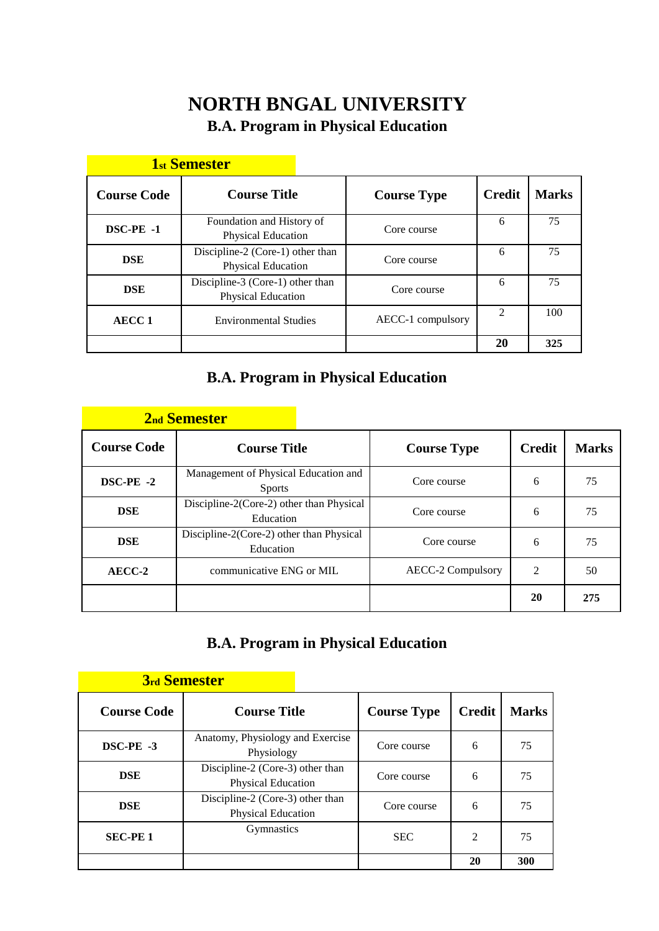# **NORTH BNGAL UNIVERSITY B.A. Program in Physical Education**

|                    | <u>TSU DUINUSUUL</u>                                   |                    |                             |              |
|--------------------|--------------------------------------------------------|--------------------|-----------------------------|--------------|
| <b>Course Code</b> | <b>Course Title</b>                                    | <b>Course Type</b> | <b>Credit</b>               | <b>Marks</b> |
| DSC-PE -1          | Foundation and History of<br>Physical Education        | Core course        | 6                           | 75           |
| <b>DSE</b>         | Discipline-2 (Core-1) other than<br>Physical Education | Core course        | 6                           | 75           |
| <b>DSE</b>         | Discipline-3 (Core-1) other than<br>Physical Education | Core course        | 6                           | 75           |
| <b>AECC1</b>       | <b>Environmental Studies</b>                           | AECC-1 compulsory  | $\mathcal{D}_{\mathcal{L}}$ | 100          |
|                    |                                                        |                    | 20                          | 325          |

# **1**<sup>st</sup> **1**<sup>s</sup> **Semester**

# **B.A. Program in Physical Education**

|                    | <b>2nd Semester</b>                                   |                          |               |              |
|--------------------|-------------------------------------------------------|--------------------------|---------------|--------------|
| <b>Course Code</b> | <b>Course Title</b>                                   | <b>Course Type</b>       | <b>Credit</b> | <b>Marks</b> |
| DSC-PE -2          | Management of Physical Education and<br><b>Sports</b> | Core course              | 6             | 75           |
| <b>DSE</b>         | Discipline-2(Core-2) other than Physical<br>Education | Core course              | 6             | 75           |
| <b>DSE</b>         | Discipline-2(Core-2) other than Physical<br>Education | Core course              | 6             | 75           |
| AECC-2             | communicative ENG or MIL                              | <b>AECC-2 Compulsory</b> | 2             | 50           |
|                    |                                                       |                          | 20            | 275          |

# **B.A. Program in Physical Education**

|                    | <b>3rd Semester</b>                                    |                    |                |              |
|--------------------|--------------------------------------------------------|--------------------|----------------|--------------|
| <b>Course Code</b> | <b>Course Title</b>                                    | <b>Course Type</b> | <b>Credit</b>  | <b>Marks</b> |
| DSC-PE -3          | Anatomy, Physiology and Exercise<br>Physiology         | Core course        | 6              | 75           |
| <b>DSE</b>         | Discipline-2 (Core-3) other than<br>Physical Education | Core course        | 6              | 75           |
| <b>DSE</b>         | Discipline-2 (Core-3) other than<br>Physical Education | Core course        | 6              | 75           |
| <b>SEC-PE1</b>     | <b>Gymnastics</b>                                      | <b>SEC</b>         | $\mathfrak{D}$ | 75           |
|                    |                                                        |                    | 20             | 300          |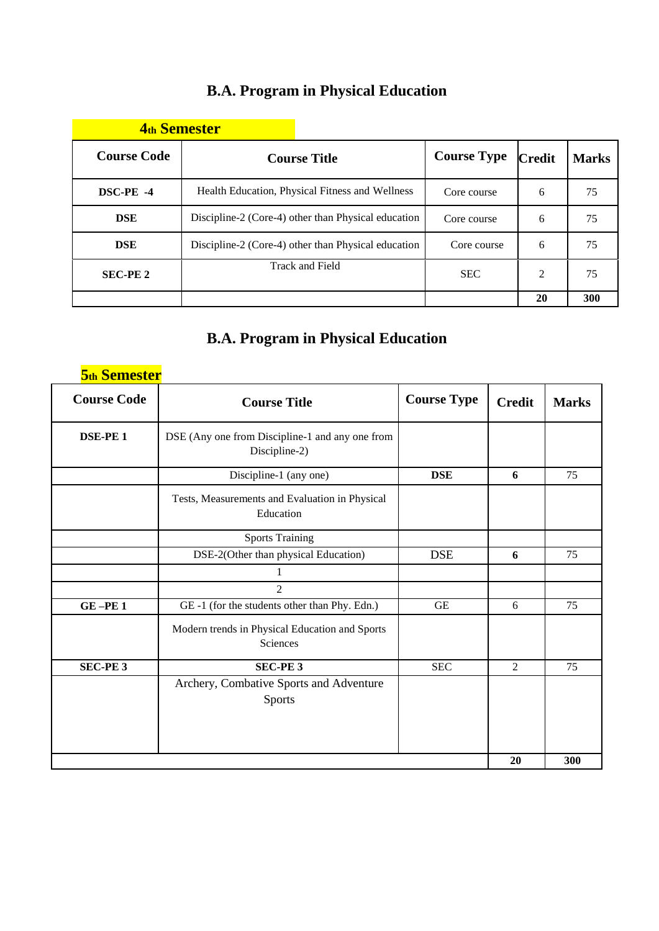# **B.A. Program in Physical Education**

| <b>4th Semester</b> |                                                     |                    |               |              |
|---------------------|-----------------------------------------------------|--------------------|---------------|--------------|
| <b>Course Code</b>  | <b>Course Title</b>                                 | <b>Course Type</b> | <b>Credit</b> | <b>Marks</b> |
| DSC-PE -4           | Health Education, Physical Fitness and Wellness     | Core course        | 6             | 75           |
| <b>DSE</b>          | Discipline-2 (Core-4) other than Physical education | Core course        | 6             | 75           |
| <b>DSE</b>          | Discipline-2 (Core-4) other than Physical education | Core course        | 6             | 75           |
| <b>SEC-PE 2</b>     | Track and Field                                     | <b>SEC</b>         | 2             | 75           |
|                     |                                                     |                    | 20            | 300          |

# **B.A. Program in Physical Education**

| <b>5th Semester</b> |                                                                  |                    |                |              |
|---------------------|------------------------------------------------------------------|--------------------|----------------|--------------|
| <b>Course Code</b>  | <b>Course Title</b>                                              | <b>Course Type</b> | <b>Credit</b>  | <b>Marks</b> |
| <b>DSE-PE1</b>      | DSE (Any one from Discipline-1 and any one from<br>Discipline-2) |                    |                |              |
|                     | Discipline-1 (any one)                                           | <b>DSE</b>         | 6              | 75           |
|                     | Tests, Measurements and Evaluation in Physical<br>Education      |                    |                |              |
|                     | <b>Sports Training</b>                                           |                    |                |              |
|                     | DSE-2(Other than physical Education)                             | <b>DSE</b>         | 6              | 75           |
|                     |                                                                  |                    |                |              |
|                     | $\overline{2}$                                                   |                    |                |              |
| GE-PE1              | GE-1 (for the students other than Phy. Edn.)                     | <b>GE</b>          | 6              | 75           |
|                     | Modern trends in Physical Education and Sports<br>Sciences       |                    |                |              |
| <b>SEC-PE3</b>      | <b>SEC-PE3</b>                                                   | <b>SEC</b>         | $\overline{2}$ | 75           |
|                     | Archery, Combative Sports and Adventure<br>Sports                |                    |                |              |
|                     |                                                                  |                    | 20             | 300          |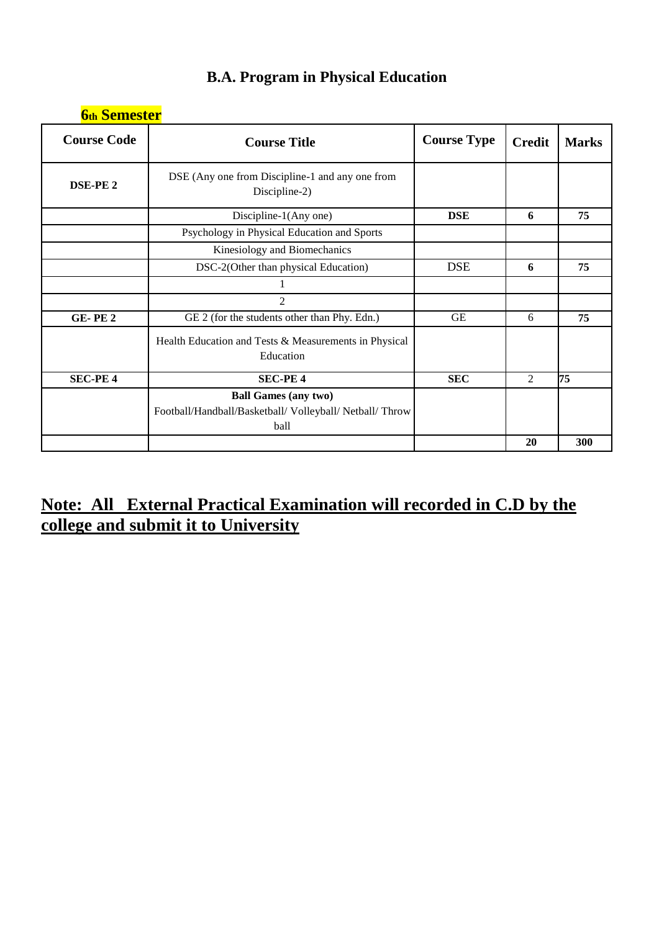| <b>6th Semester</b> |                                                                                                 |                    |               |              |
|---------------------|-------------------------------------------------------------------------------------------------|--------------------|---------------|--------------|
| <b>Course Code</b>  | <b>Course Title</b>                                                                             | <b>Course Type</b> | <b>Credit</b> | <b>Marks</b> |
| DSE-PE <sub>2</sub> | DSE (Any one from Discipline-1 and any one from<br>Discipline-2)                                |                    |               |              |
|                     | Discipline-1(Any one)                                                                           | <b>DSE</b>         | 6             | 75           |
|                     | Psychology in Physical Education and Sports                                                     |                    |               |              |
|                     | Kinesiology and Biomechanics                                                                    |                    |               |              |
|                     | DSC-2(Other than physical Education)                                                            | <b>DSE</b>         | 6             | 75           |
|                     |                                                                                                 |                    |               |              |
|                     | $\overline{2}$                                                                                  |                    |               |              |
| <b>GE-PE2</b>       | GE 2 (for the students other than Phy. Edn.)                                                    | <b>GE</b>          | 6             | 75           |
|                     | Health Education and Tests & Measurements in Physical<br>Education                              |                    |               |              |
| <b>SEC-PE 4</b>     | <b>SEC-PE4</b>                                                                                  | <b>SEC</b>         | 2             | 75           |
|                     | <b>Ball Games (any two)</b><br>Football/Handball/Basketball/ Volleyball/ Netball/ Throw<br>ball |                    |               |              |
|                     |                                                                                                 |                    | 20            | 300          |

# **B.A. Program in Physical Education**

# **Note: All External Practical Examination will recorded in C.D by the college and submit it to University**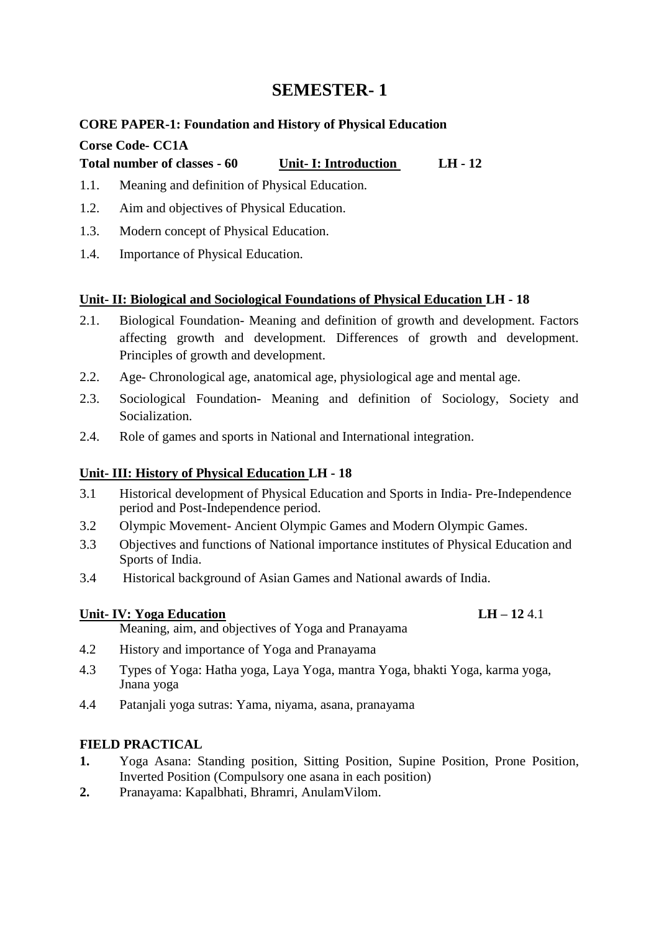### **CORE PAPER-1: Foundation and History of Physical Education**

### **Corse Code- CC1A**

**Total number of classes - 60 Unit- I: Introduction LH - 12**

- 1.1. Meaning and definition of Physical Education.
- 1.2. Aim and objectives of Physical Education.
- 1.3. Modern concept of Physical Education.
- 1.4. Importance of Physical Education.

### **Unit- II: Biological and Sociological Foundations of Physical Education LH - 18**

- 2.1. Biological Foundation- Meaning and definition of growth and development. Factors affecting growth and development. Differences of growth and development. Principles of growth and development.
- 2.2. Age- Chronological age, anatomical age, physiological age and mental age.
- 2.3. Sociological Foundation- Meaning and definition of Sociology, Society and Socialization.
- 2.4. Role of games and sports in National and International integration.

### **Unit- III: History of Physical Education LH - 18**

- 3.1 Historical development of Physical Education and Sports in India- Pre-Independence period and Post-Independence period.
- 3.2 Olympic Movement- Ancient Olympic Games and Modern Olympic Games.
- 3.3 Objectives and functions of National importance institutes of Physical Education and Sports of India.
- 3.4 Historical background of Asian Games and National awards of India.

### **Unit- IV: Yoga Education LH – 12** 4.1

Meaning, aim, and objectives of Yoga and Pranayama

- 4.2 History and importance of Yoga and Pranayama
- 4.3 Types of Yoga: Hatha yoga, Laya Yoga, mantra Yoga, bhakti Yoga, karma yoga, Jnana yoga
- 4.4 Patanjali yoga sutras: Yama, niyama, asana, pranayama

### **FIELD PRACTICAL**

- **1.** Yoga Asana: Standing position, Sitting Position, Supine Position, Prone Position, Inverted Position (Compulsory one asana in each position)
- **2.** Pranayama: Kapalbhati, Bhramri, AnulamVilom.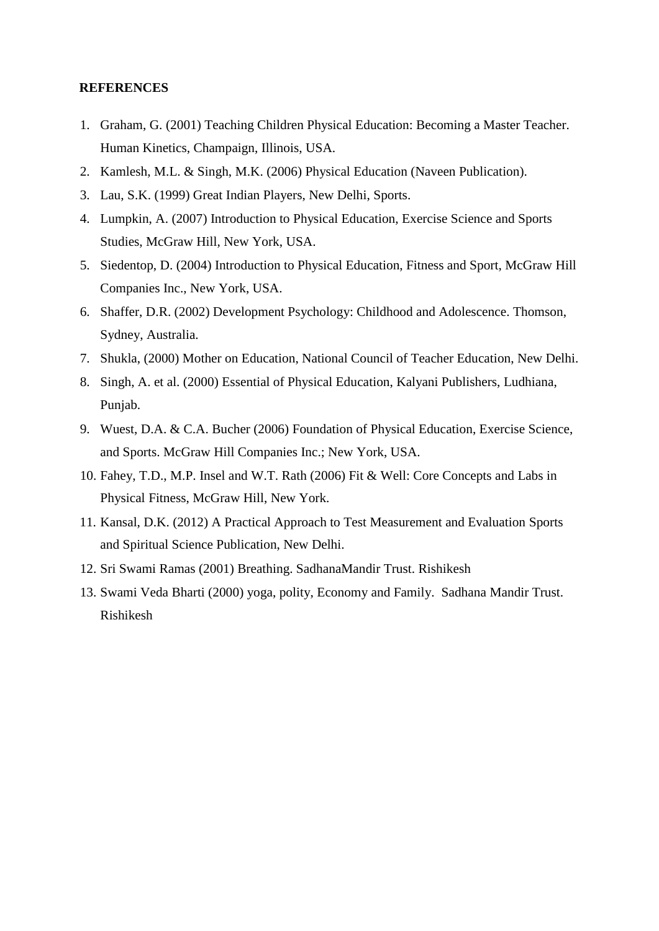- 1. Graham, G. (2001) Teaching Children Physical Education: Becoming a Master Teacher. Human Kinetics, Champaign, Illinois, USA.
- 2. Kamlesh, M.L. & Singh, M.K. (2006) Physical Education (Naveen Publication).
- 3. Lau, S.K. (1999) Great Indian Players, New Delhi, Sports.
- 4. Lumpkin, A. (2007) Introduction to Physical Education, Exercise Science and Sports Studies, McGraw Hill, New York, USA.
- 5. Siedentop, D. (2004) Introduction to Physical Education, Fitness and Sport, McGraw Hill Companies Inc., New York, USA.
- 6. Shaffer, D.R. (2002) Development Psychology: Childhood and Adolescence. Thomson, Sydney, Australia.
- 7. Shukla, (2000) Mother on Education, National Council of Teacher Education, New Delhi.
- 8. Singh, A. et al. (2000) Essential of Physical Education, Kalyani Publishers, Ludhiana, Punjab.
- 9. Wuest, D.A. & C.A. Bucher (2006) Foundation of Physical Education, Exercise Science, and Sports. McGraw Hill Companies Inc.; New York, USA.
- 10. Fahey, T.D., M.P. Insel and W.T. Rath (2006) Fit & Well: Core Concepts and Labs in Physical Fitness, McGraw Hill, New York.
- 11. Kansal, D.K. (2012) A Practical Approach to Test Measurement and Evaluation Sports and Spiritual Science Publication, New Delhi.
- 12. Sri Swami Ramas (2001) Breathing. SadhanaMandir Trust. Rishikesh
- 13. Swami Veda Bharti (2000) yoga, polity, Economy and Family. Sadhana Mandir Trust. Rishikesh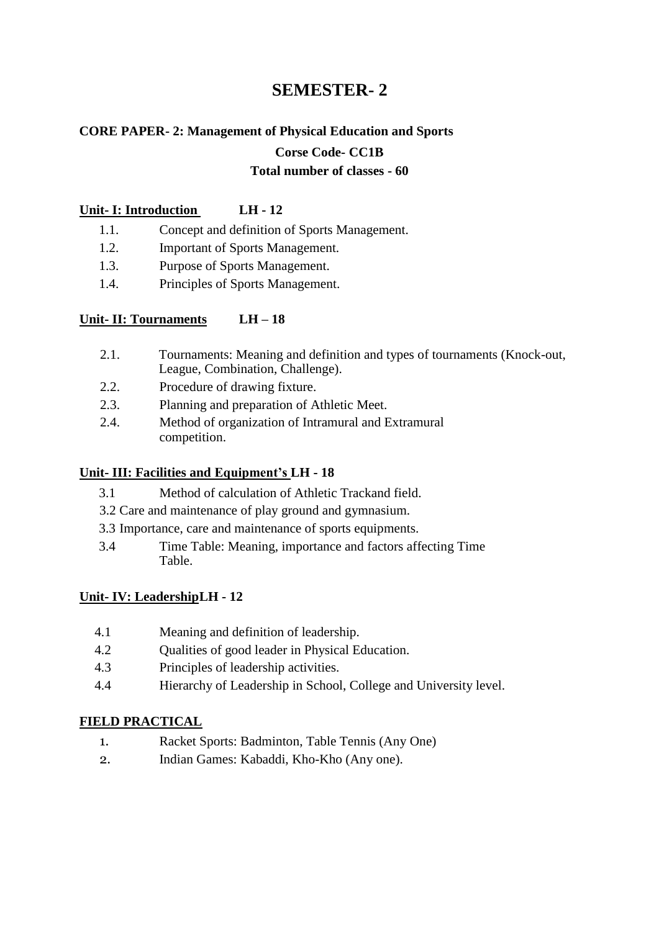# **CORE PAPER- 2: Management of Physical Education and Sports**

#### **Corse Code- CC1B**

#### **Total number of classes - 60**

#### **Unit- I: Introduction LH - 12**

- 1.1. Concept and definition of Sports Management.
- 1.2. Important of Sports Management.
- 1.3. Purpose of Sports Management.
- 1.4. Principles of Sports Management.

### **Unit- II: Tournaments LH – 18**

- 2.1. Tournaments: Meaning and definition and types of tournaments (Knock-out, League, Combination, Challenge).
- 2.2. Procedure of drawing fixture.
- 2.3. Planning and preparation of Athletic Meet.
- 2.4. Method of organization of Intramural and Extramural competition.

#### **Unit- III: Facilities and Equipment's LH - 18**

- 3.1 Method of calculation of Athletic Trackand field.
- 3.2 Care and maintenance of play ground and gymnasium.
- 3.3 Importance, care and maintenance of sports equipments.
- 3.4 Time Table: Meaning, importance and factors affecting Time Table.

### **Unit- IV: LeadershipLH - 12**

- 4.1 Meaning and definition of leadership.
- 4.2 Qualities of good leader in Physical Education.
- 4.3 Principles of leadership activities.
- 4.4 Hierarchy of Leadership in School, College and University level.

### **FIELD PRACTICAL**

- 1. Racket Sports: Badminton, Table Tennis (Any One)
- 2. Indian Games: Kabaddi, Kho-Kho (Any one).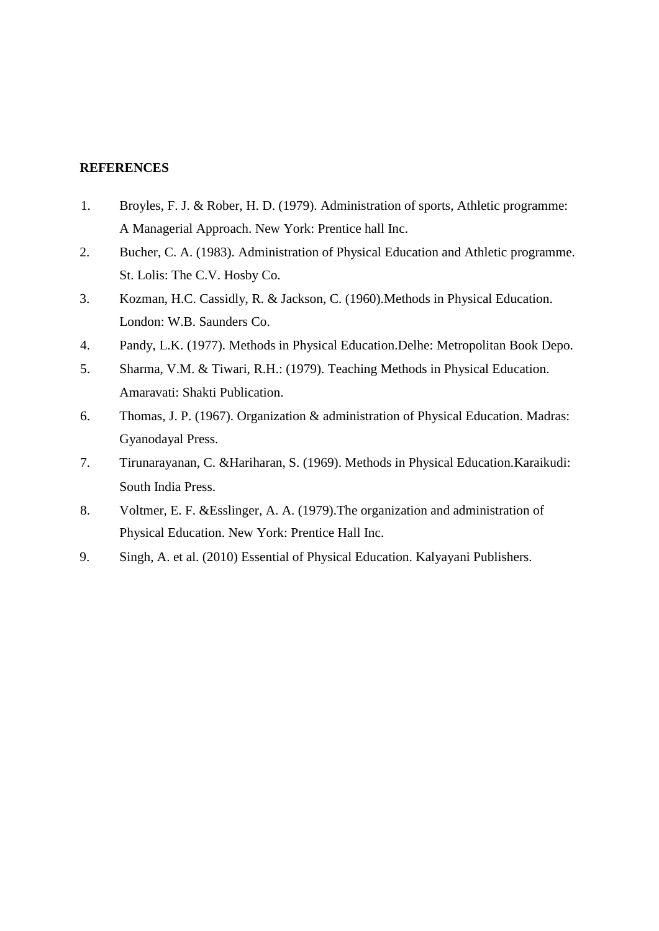- 1. Broyles, F. J. & Rober, H. D. (1979). Administration of sports, Athletic programme: A Managerial Approach. New York: Prentice hall Inc.
- 2. Bucher, C. A. (1983). Administration of Physical Education and Athletic programme. St. Lolis: The C.V. Hosby Co.
- 3. Kozman, H.C. Cassidly, R. & Jackson, C. (1960).Methods in Physical Education. London: W.B. Saunders Co.
- 4. Pandy, L.K. (1977). Methods in Physical Education.Delhe: Metropolitan Book Depo.
- 5. Sharma, V.M. & Tiwari, R.H.: (1979). Teaching Methods in Physical Education. Amaravati: Shakti Publication.
- 6. Thomas, J. P. (1967). Organization & administration of Physical Education. Madras: Gyanodayal Press.
- 7. Tirunarayanan, C. &Hariharan, S. (1969). Methods in Physical Education.Karaikudi: South India Press.
- 8. Voltmer, E. F. &Esslinger, A. A. (1979).The organization and administration of Physical Education. New York: Prentice Hall Inc.
- 9. Singh, A. et al. (2010) Essential of Physical Education. Kalyayani Publishers.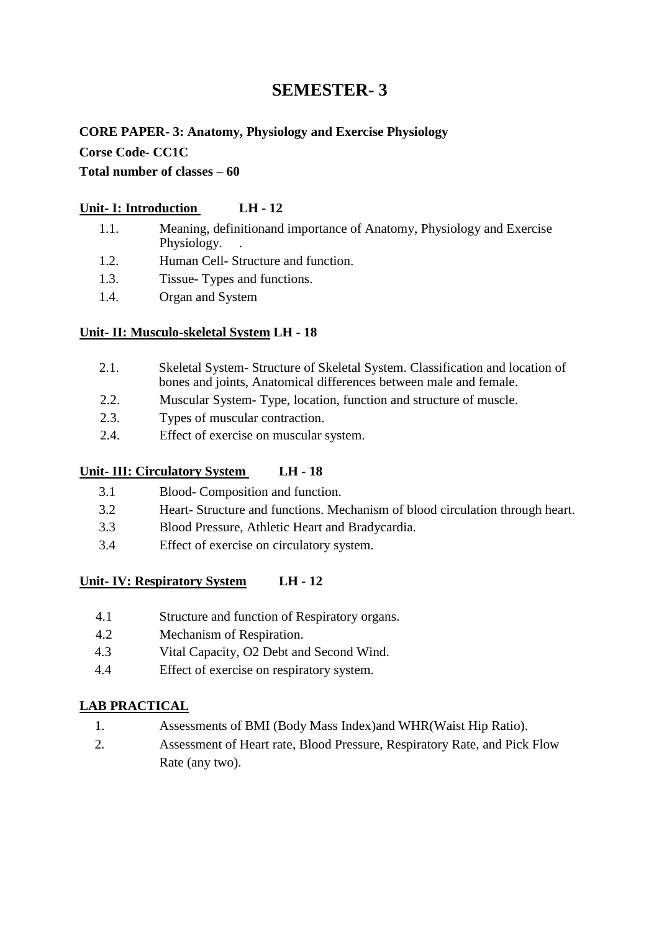# **CORE PAPER- 3: Anatomy, Physiology and Exercise Physiology Corse Code- CC1C**

### **Total number of classes – 60**

### **Unit- I: Introduction LH - 12**

- 1.1. Meaning, definitionand importance of Anatomy, Physiology and Exercise Physiology. .
- 1.2. Human Cell- Structure and function.
- 1.3. Tissue- Types and functions.
- 1.4. Organ and System

### **Unit- II: Musculo-skeletal System LH - 18**

- 2.1. Skeletal System- Structure of Skeletal System. Classification and location of bones and joints, Anatomical differences between male and female.
- 2.2. Muscular System- Type, location, function and structure of muscle.
- 2.3. Types of muscular contraction.
- 2.4. Effect of exercise on muscular system.

### **Unit- III: Circulatory System LH - 18**

- 3.1 Blood- Composition and function.
- 3.2 Heart- Structure and functions. Mechanism of blood circulation through heart.
- 3.3 Blood Pressure, Athletic Heart and Bradycardia.
- 3.4 Effect of exercise on circulatory system.

### **Unit- IV: Respiratory System LH - 12**

- 4.1 Structure and function of Respiratory organs.
- 4.2 Mechanism of Respiration.
- 4.3 Vital Capacity, O2 Debt and Second Wind.
- 4.4 Effect of exercise on respiratory system.

### **LAB PRACTICAL**

- 1. Assessments of BMI (Body Mass Index)and WHR(Waist Hip Ratio).
- 2. Assessment of Heart rate, Blood Pressure, Respiratory Rate, and Pick Flow Rate (any two).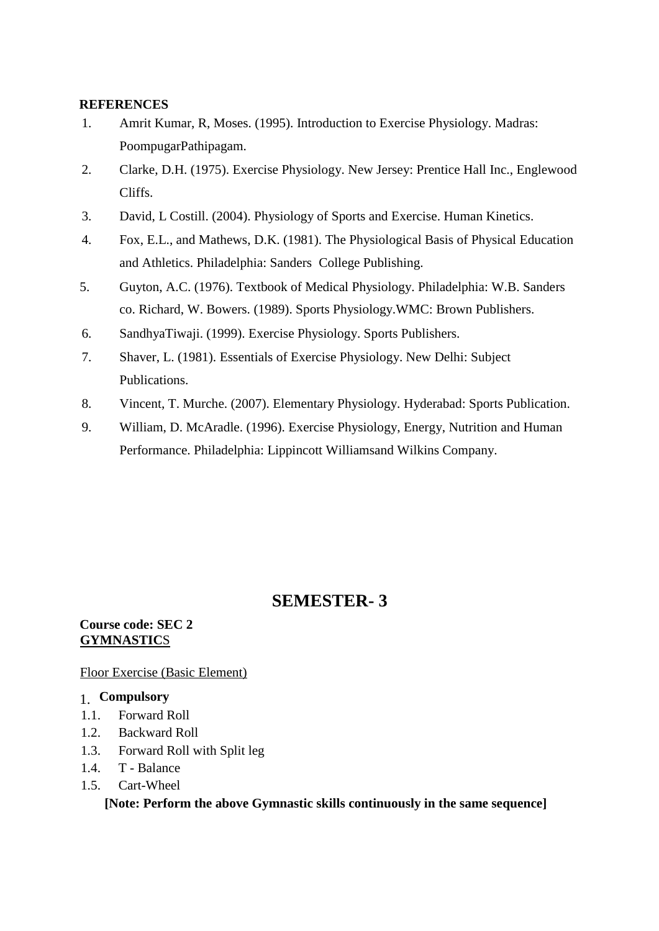- 1. Amrit Kumar, R, Moses. (1995). Introduction to Exercise Physiology. Madras: PoompugarPathipagam.
- 2. Clarke, D.H. (1975). Exercise Physiology. New Jersey: Prentice Hall Inc., Englewood Cliffs.
- 3. David, L Costill. (2004). Physiology of Sports and Exercise. Human Kinetics.
- 4. Fox, E.L., and Mathews, D.K. (1981). The Physiological Basis of Physical Education and Athletics. Philadelphia: Sanders College Publishing.
- 5. Guyton, A.C. (1976). Textbook of Medical Physiology. Philadelphia: W.B. Sanders co. Richard, W. Bowers. (1989). Sports Physiology.WMC: Brown Publishers.
- 6. SandhyaTiwaji. (1999). Exercise Physiology. Sports Publishers.
- 7. Shaver, L. (1981). Essentials of Exercise Physiology. New Delhi: Subject Publications.
- 8. Vincent, T. Murche. (2007). Elementary Physiology. Hyderabad: Sports Publication.
- 9. William, D. McAradle. (1996). Exercise Physiology, Energy, Nutrition and Human Performance. Philadelphia: Lippincott Williamsand Wilkins Company.

# **SEMESTER- 3**

#### **Course code: SEC 2 GYMNASTIC**S

Floor Exercise (Basic Element)

### 1. **Compulsory**

- 1.1. Forward Roll
- 1.2. Backward Roll
- 1.3. Forward Roll with Split leg
- 1.4. T Balance
- 1.5. Cart-Wheel

**[Note: Perform the above Gymnastic skills continuously in the same sequence]**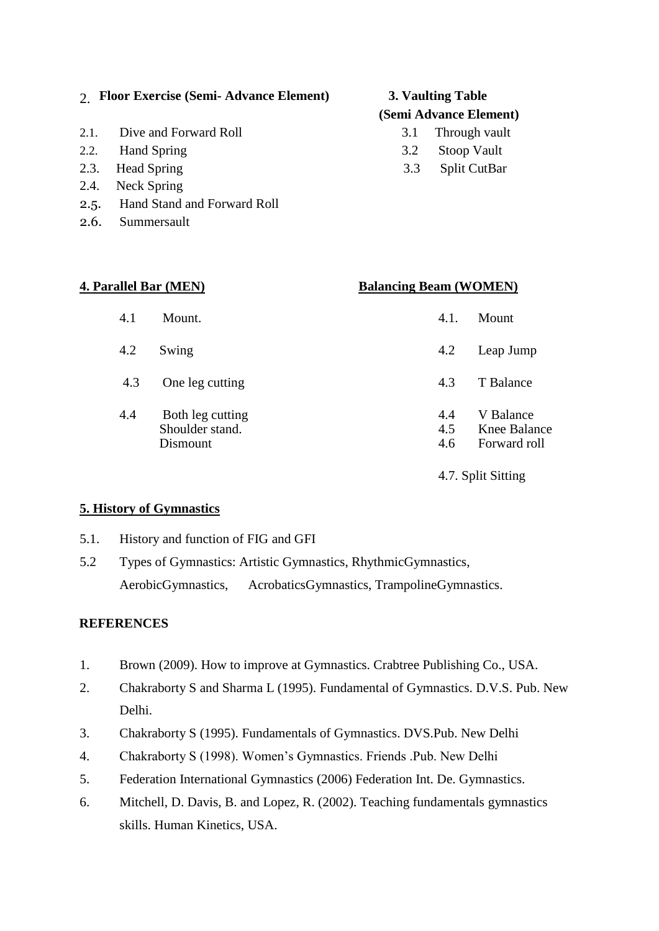### 2. **Floor Exercise (Semi- Advance Element) 3. Vaulting Table**

- 2.1. Dive and Forward Roll 3.1 Through vault
- 2.2. Hand Spring 3.2 Stoop Vault
- 2.3. Head Spring 3.3 Split CutBar
- 2.4. Neck Spring
- 2.5. Hand Stand and Forward Roll
- 2.6. Summersault

# **(Semi Advance Element)**

- 
- 
- 

| <b>4. Parallel Bar (MEN)</b> |            | <b>Balancing Beam (WOMEN)</b> |            |
|------------------------------|------------|-------------------------------|------------|
|                              | 4.1 Mount. |                               | 4.1. Mount |

- 4.2 Swing 4.2 Leap Jump
- 4.3 One leg cutting 4.3 T Balance
- 4.4 Both leg cutting 4.4 V Balance Shoulder stand. 4.5 Knee Balance<br>Dismount 4.6 Forward roll 4.6 Forward roll

4.7. Split Sitting

### **5. History of Gymnastics**

- 5.1. History and function of FIG and GFI
- 5.2 Types of Gymnastics: Artistic Gymnastics, RhythmicGymnastics, AerobicGymnastics, AcrobaticsGymnastics, TrampolineGymnastics.

- 1. Brown (2009). How to improve at Gymnastics. Crabtree Publishing Co., USA.
- 2. Chakraborty S and Sharma L (1995). Fundamental of Gymnastics. D.V.S. Pub. New Delhi.
- 3. Chakraborty S (1995). Fundamentals of Gymnastics. DVS.Pub. New Delhi
- 4. Chakraborty S (1998). Women's Gymnastics. Friends .Pub. New Delhi
- 5. Federation International Gymnastics (2006) Federation Int. De. Gymnastics.
- 6. Mitchell, D. Davis, B. and Lopez, R. (2002). Teaching fundamentals gymnastics skills. Human Kinetics, USA.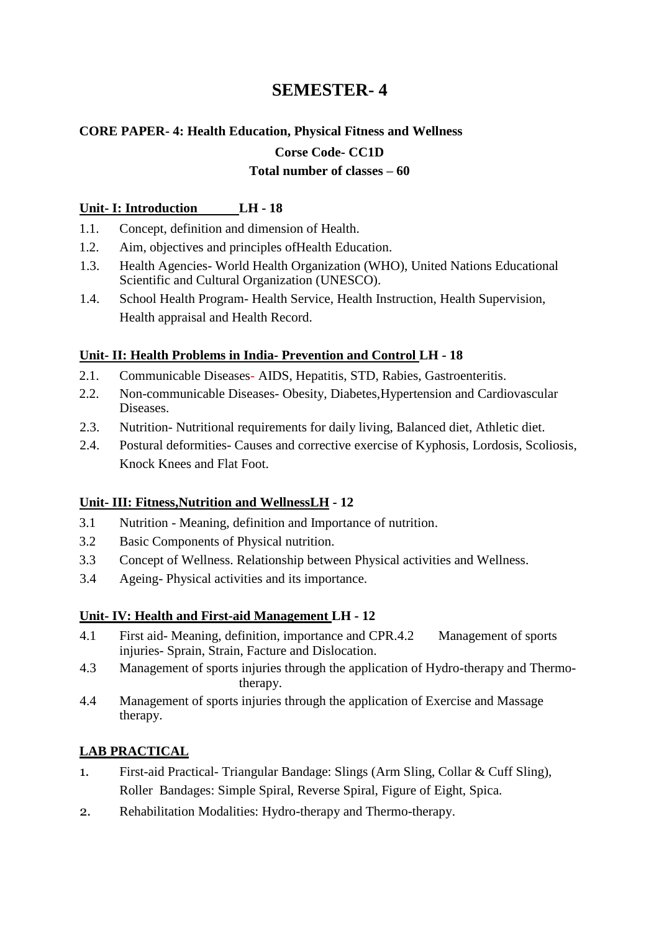# **CORE PAPER- 4: Health Education, Physical Fitness and Wellness**

### **Corse Code- CC1D**

#### **Total number of classes – 60**

#### **Unit- I: Introduction LH - 18**

- 1.1. Concept, definition and dimension of Health.
- 1.2. Aim, objectives and principles ofHealth Education.
- 1.3. Health Agencies- World Health Organization (WHO), United Nations Educational Scientific and Cultural Organization (UNESCO).
- 1.4. School Health Program- Health Service, Health Instruction, Health Supervision, Health appraisal and Health Record.

### **Unit- II: Health Problems in India- Prevention and Control LH - 18**

- 2.1. Communicable Diseases- AIDS, Hepatitis, STD, Rabies, Gastroenteritis.
- 2.2. Non-communicable Diseases- Obesity, Diabetes,Hypertension and Cardiovascular Diseases.
- 2.3. Nutrition- Nutritional requirements for daily living, Balanced diet, Athletic diet.
- 2.4. Postural deformities- Causes and corrective exercise of Kyphosis, Lordosis, Scoliosis, Knock Knees and Flat Foot.

### **Unit- III: Fitness,Nutrition and WellnessLH - 12**

- 3.1 Nutrition Meaning, definition and Importance of nutrition.
- 3.2 Basic Components of Physical nutrition.
- 3.3 Concept of Wellness. Relationship between Physical activities and Wellness.
- 3.4 Ageing- Physical activities and its importance.

### **Unit- IV: Health and First-aid Management LH - 12**

- 4.1 First aid- Meaning, definition, importance and CPR.4.2 Management of sports injuries- Sprain, Strain, Facture and Dislocation.
- 4.3 Management of sports injuries through the application of Hydro-therapy and Thermotherapy.
- 4.4 Management of sports injuries through the application of Exercise and Massage therapy.

### **LAB PRACTICAL**

- 1. First-aid Practical- Triangular Bandage: Slings (Arm Sling, Collar & Cuff Sling), Roller Bandages: Simple Spiral, Reverse Spiral, Figure of Eight, Spica.
- 2. Rehabilitation Modalities: Hydro-therapy and Thermo-therapy.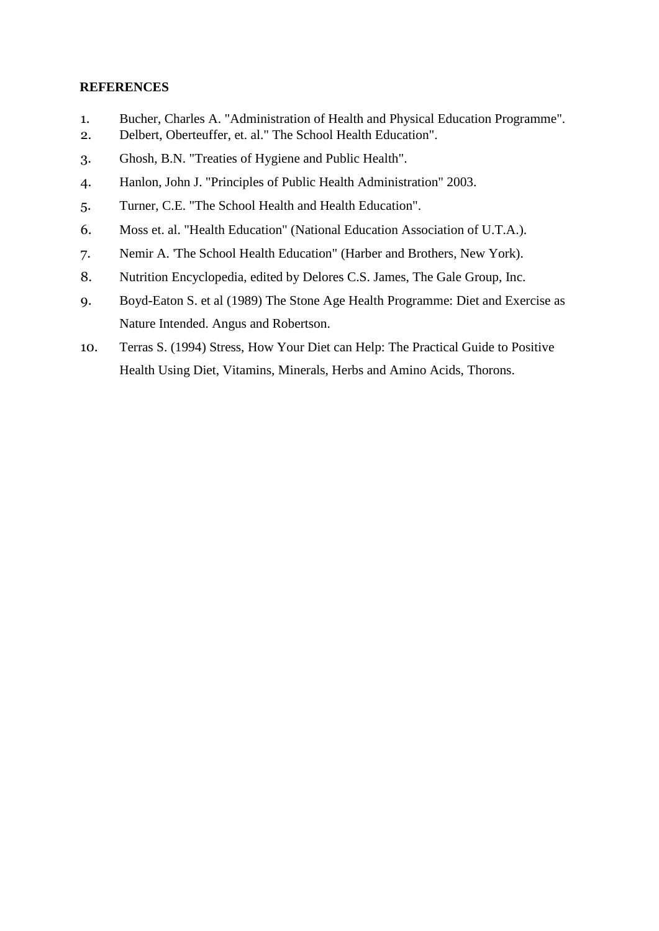- 1. Bucher, Charles A. "Administration of Health and Physical Education Programme".
- 2. Delbert, Oberteuffer, et. al." The School Health Education".
- 3. Ghosh, B.N. "Treaties of Hygiene and Public Health".
- 4. Hanlon, John J. "Principles of Public Health Administration" 2003.
- 5. Turner, C.E. "The School Health and Health Education".
- 6. Moss et. al. "Health Education" (National Education Association of U.T.A.).
- 7. Nemir A. 'The School Health Education" (Harber and Brothers, New York).
- 8. Nutrition Encyclopedia, edited by Delores C.S. James, The Gale Group, Inc.
- 9. Boyd-Eaton S. et al (1989) The Stone Age Health Programme: Diet and Exercise as Nature Intended. Angus and Robertson.
- 10. Terras S. (1994) Stress, How Your Diet can Help: The Practical Guide to Positive Health Using Diet, Vitamins, Minerals, Herbs and Amino Acids, Thorons.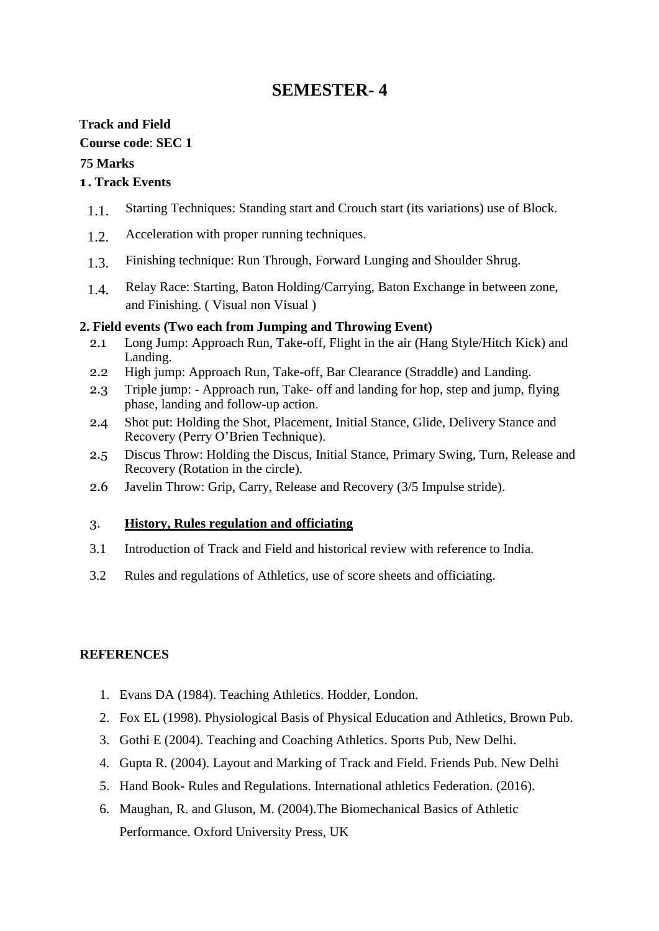### **Track and Field**

**Course code**: **SEC 1**

### **75 Marks**

### **1 . Track Events**

- 1.1. Starting Techniques: Standing start and Crouch start (its variations) use of Block.
- 1.2. Acceleration with proper running techniques.
- 1.3. Finishing technique: Run Through, Forward Lunging and Shoulder Shrug.
- 1.4. Relay Race: Starting, Baton Holding/Carrying, Baton Exchange in between zone, and Finishing. ( Visual non Visual )

### **2. Field events (Two each from Jumping and Throwing Event)**

- 2.1 Long Jump: Approach Run, Take-off, Flight in the air (Hang Style/Hitch Kick) and Landing.
- 2.2 High jump: Approach Run, Take-off, Bar Clearance (Straddle) and Landing.
- 2.3 Triple jump: Approach run, Take- off and landing for hop, step and jump, flying phase, landing and follow-up action.
- 2.4 Shot put: Holding the Shot, Placement, Initial Stance, Glide, Delivery Stance and Recovery (Perry O'Brien Technique).
- 2.5 Discus Throw: Holding the Discus, Initial Stance, Primary Swing, Turn, Release and Recovery (Rotation in the circle).
- 2.6 Javelin Throw: Grip, Carry, Release and Recovery (3/5 Impulse stride).

### 3. **History, Rules regulation and officiating**

- 3.1 Introduction of Track and Field and historical review with reference to India.
- 3.2 Rules and regulations of Athletics, use of score sheets and officiating.

- 1. Evans DA (1984). Teaching Athletics. Hodder, London.
- 2. Fox EL (1998). Physiological Basis of Physical Education and Athletics, Brown Pub.
- 3. Gothi E (2004). Teaching and Coaching Athletics. Sports Pub, New Delhi.
- 4. Gupta R. (2004). Layout and Marking of Track and Field. Friends Pub. New Delhi
- 5. Hand Book- Rules and Regulations. International athletics Federation. (2016).
- 6. Maughan, R. and Gluson, M. (2004).The Biomechanical Basics of Athletic Performance. Oxford University Press, UK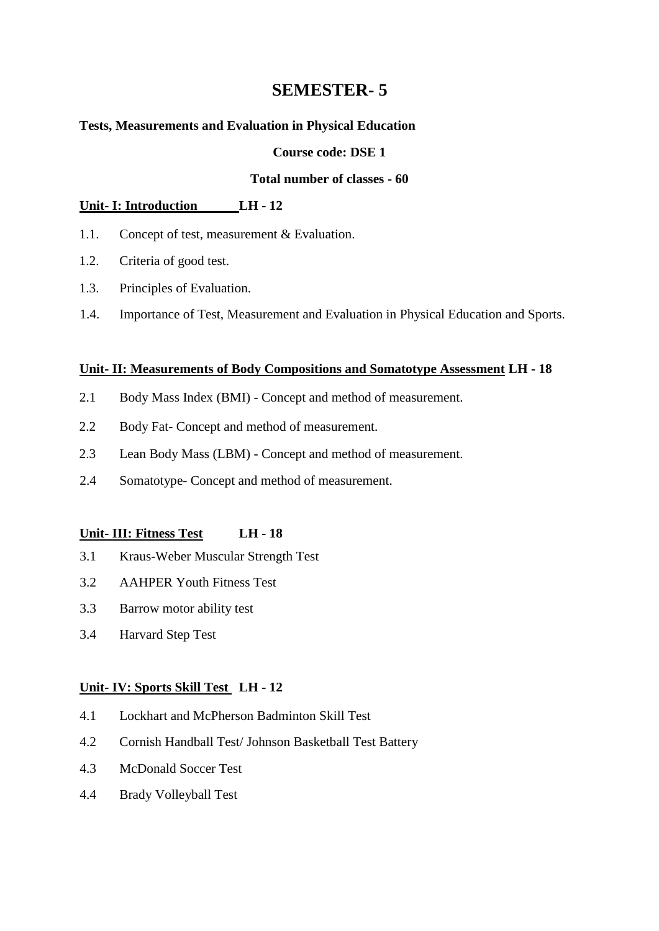#### **Tests, Measurements and Evaluation in Physical Education**

#### **Course code: DSE 1**

#### **Total number of classes - 60**

#### **Unit- I: Introduction LH - 12**

- 1.1. Concept of test, measurement & Evaluation.
- 1.2. Criteria of good test.
- 1.3. Principles of Evaluation.
- 1.4. Importance of Test, Measurement and Evaluation in Physical Education and Sports.

#### **Unit- II: Measurements of Body Compositions and Somatotype Assessment LH - 18**

- 2.1 Body Mass Index (BMI) Concept and method of measurement.
- 2.2 Body Fat- Concept and method of measurement.
- 2.3 Lean Body Mass (LBM) Concept and method of measurement.
- 2.4 Somatotype- Concept and method of measurement.

### **Unit- III: Fitness Test LH - 18**

- 3.1 Kraus-Weber Muscular Strength Test
- 3.2 AAHPER Youth Fitness Test
- 3.3 Barrow motor ability test
- 3.4 Harvard Step Test

#### **Unit- IV: Sports Skill Test LH - 12**

- 4.1 Lockhart and McPherson Badminton Skill Test
- 4.2 Cornish Handball Test/ Johnson Basketball Test Battery
- 4.3 McDonald Soccer Test
- 4.4 Brady Volleyball Test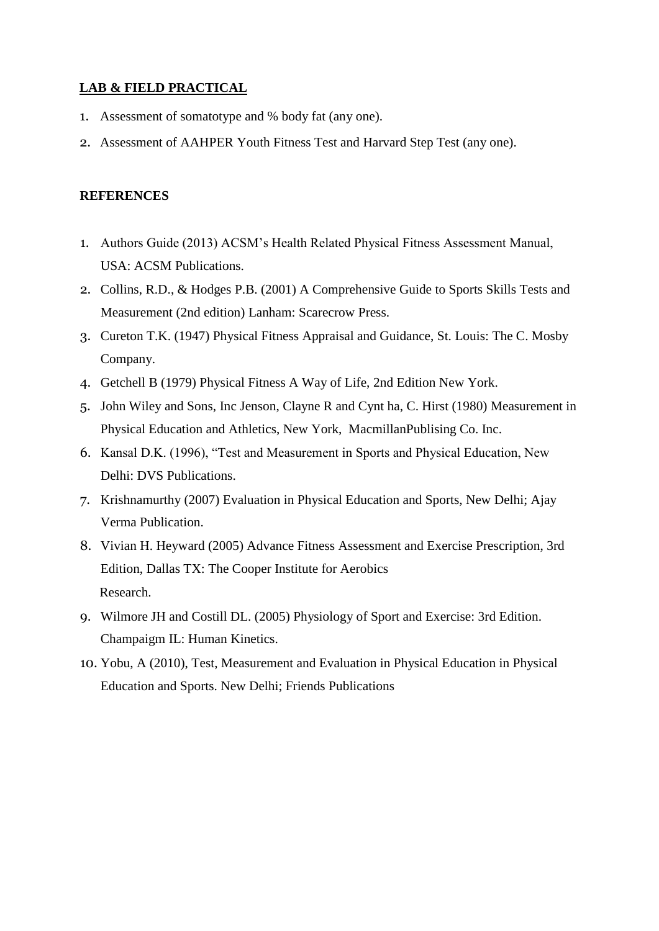#### **LAB & FIELD PRACTICAL**

- 1. Assessment of somatotype and % body fat (any one).
- 2. Assessment of AAHPER Youth Fitness Test and Harvard Step Test (any one).

- 1. Authors Guide (2013) ACSM's Health Related Physical Fitness Assessment Manual, USA: ACSM Publications.
- 2. Collins, R.D., & Hodges P.B. (2001) A Comprehensive Guide to Sports Skills Tests and Measurement (2nd edition) Lanham: Scarecrow Press.
- 3. Cureton T.K. (1947) Physical Fitness Appraisal and Guidance, St. Louis: The C. Mosby Company.
- 4. Getchell B (1979) Physical Fitness A Way of Life, 2nd Edition New York.
- 5. John Wiley and Sons, Inc Jenson, Clayne R and Cynt ha, C. Hirst (1980) Measurement in Physical Education and Athletics, New York, MacmillanPublising Co. Inc.
- 6. Kansal D.K. (1996), "Test and Measurement in Sports and Physical Education, New Delhi: DVS Publications.
- 7. Krishnamurthy (2007) Evaluation in Physical Education and Sports, New Delhi; Ajay Verma Publication.
- 8. Vivian H. Heyward (2005) Advance Fitness Assessment and Exercise Prescription, 3rd Edition, Dallas TX: The Cooper Institute for Aerobics Research.
- 9. Wilmore JH and Costill DL. (2005) Physiology of Sport and Exercise: 3rd Edition. Champaigm IL: Human Kinetics.
- 10. Yobu, A (2010), Test, Measurement and Evaluation in Physical Education in Physical Education and Sports. New Delhi; Friends Publications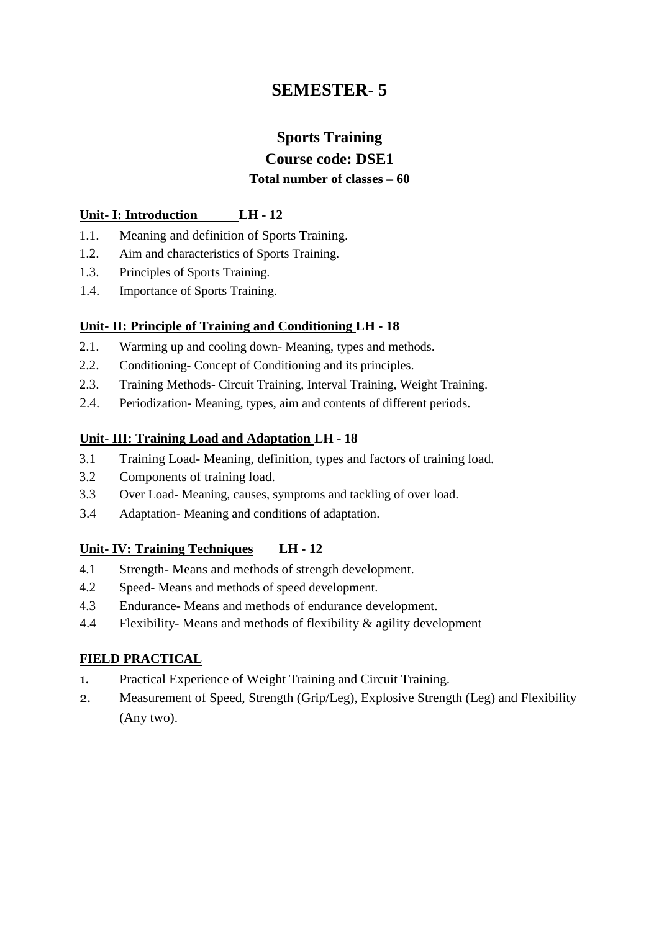# **Sports Training Course code: DSE1 Total number of classes – 60**

#### **Unit- I: Introduction LH - 12**

- 1.1. Meaning and definition of Sports Training.
- 1.2. Aim and characteristics of Sports Training.
- 1.3. Principles of Sports Training.
- 1.4. Importance of Sports Training.

#### **Unit- II: Principle of Training and Conditioning LH - 18**

- 2.1. Warming up and cooling down- Meaning, types and methods.
- 2.2. Conditioning- Concept of Conditioning and its principles.
- 2.3. Training Methods- Circuit Training, Interval Training, Weight Training.
- 2.4. Periodization- Meaning, types, aim and contents of different periods.

#### **Unit- III: Training Load and Adaptation LH - 18**

- 3.1 Training Load- Meaning, definition, types and factors of training load.
- 3.2 Components of training load.
- 3.3 Over Load- Meaning, causes, symptoms and tackling of over load.
- 3.4 Adaptation- Meaning and conditions of adaptation.

### **Unit- IV: Training Techniques LH - 12**

- 4.1 Strength- Means and methods of strength development.
- 4.2 Speed- Means and methods of speed development.
- 4.3 Endurance- Means and methods of endurance development.
- 4.4 Flexibility- Means and methods of flexibility & agility development

### **FIELD PRACTICAL**

- 1. Practical Experience of Weight Training and Circuit Training.
- 2. Measurement of Speed, Strength (Grip/Leg), Explosive Strength (Leg) and Flexibility (Any two).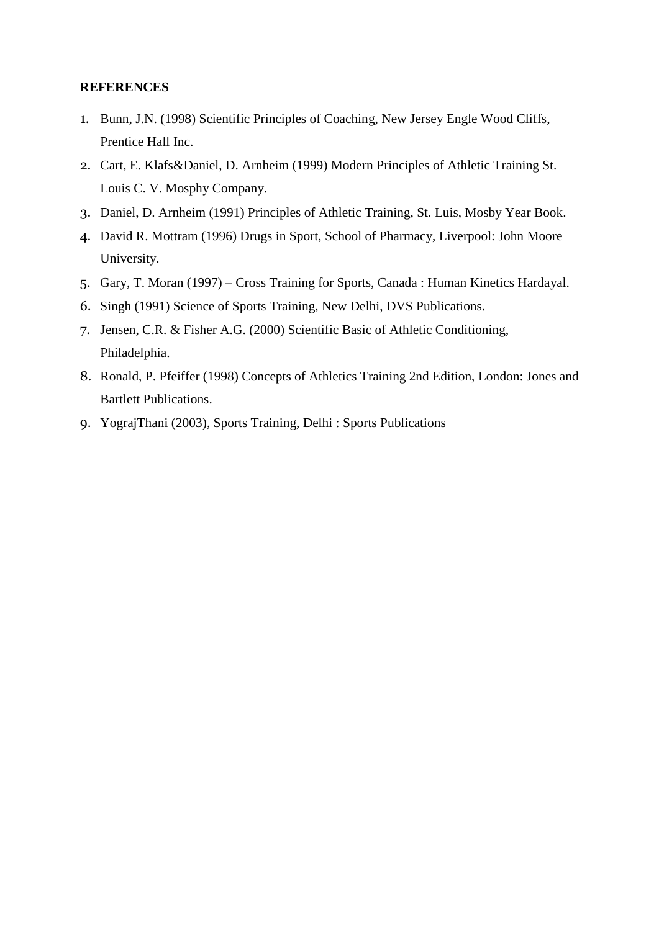- 1. Bunn, J.N. (1998) Scientific Principles of Coaching, New Jersey Engle Wood Cliffs, Prentice Hall Inc.
- 2. Cart, E. Klafs&Daniel, D. Arnheim (1999) Modern Principles of Athletic Training St. Louis C. V. Mosphy Company.
- 3. Daniel, D. Arnheim (1991) Principles of Athletic Training, St. Luis, Mosby Year Book.
- 4. David R. Mottram (1996) Drugs in Sport, School of Pharmacy, Liverpool: John Moore University.
- 5. Gary, T. Moran (1997) Cross Training for Sports, Canada : Human Kinetics Hardayal.
- 6. Singh (1991) Science of Sports Training, New Delhi, DVS Publications.
- 7. Jensen, C.R. & Fisher A.G. (2000) Scientific Basic of Athletic Conditioning, Philadelphia.
- 8. Ronald, P. Pfeiffer (1998) Concepts of Athletics Training 2nd Edition, London: Jones and Bartlett Publications.
- 9. YograjThani (2003), Sports Training, Delhi : Sports Publications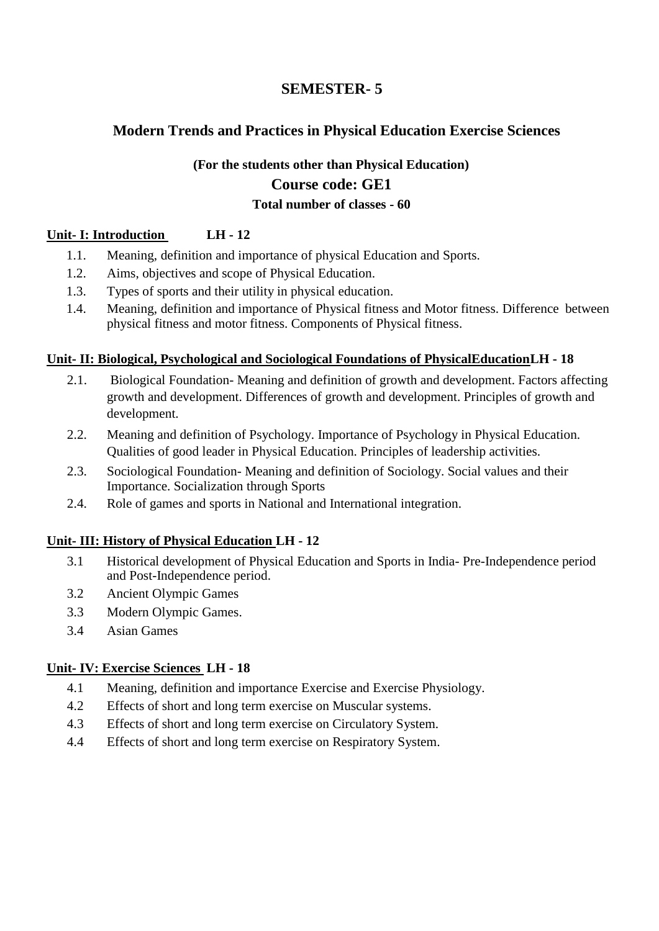### **Modern Trends and Practices in Physical Education Exercise Sciences**

# **(For the students other than Physical Education) Course code: GE1 Total number of classes - 60**

### **Unit- I: Introduction LH - 12**

- 1.1. Meaning, definition and importance of physical Education and Sports.
- 1.2. Aims, objectives and scope of Physical Education.
- 1.3. Types of sports and their utility in physical education.
- 1.4. Meaning, definition and importance of Physical fitness and Motor fitness. Difference between physical fitness and motor fitness. Components of Physical fitness.

### **Unit- II: Biological, Psychological and Sociological Foundations of PhysicalEducationLH - 18**

- 2.1. Biological Foundation- Meaning and definition of growth and development. Factors affecting growth and development. Differences of growth and development. Principles of growth and development.
- 2.2. Meaning and definition of Psychology. Importance of Psychology in Physical Education. Qualities of good leader in Physical Education. Principles of leadership activities.
- 2.3. Sociological Foundation- Meaning and definition of Sociology. Social values and their Importance. Socialization through Sports
- 2.4. Role of games and sports in National and International integration.

### **Unit- III: History of Physical Education LH - 12**

- 3.1 Historical development of Physical Education and Sports in India- Pre-Independence period and Post-Independence period.
- 3.2 Ancient Olympic Games
- 3.3 Modern Olympic Games.
- 3.4 Asian Games

### **Unit- IV: Exercise Sciences LH - 18**

- 4.1 Meaning, definition and importance Exercise and Exercise Physiology.
- 4.2 Effects of short and long term exercise on Muscular systems.
- 4.3 Effects of short and long term exercise on Circulatory System.
- 4.4 Effects of short and long term exercise on Respiratory System.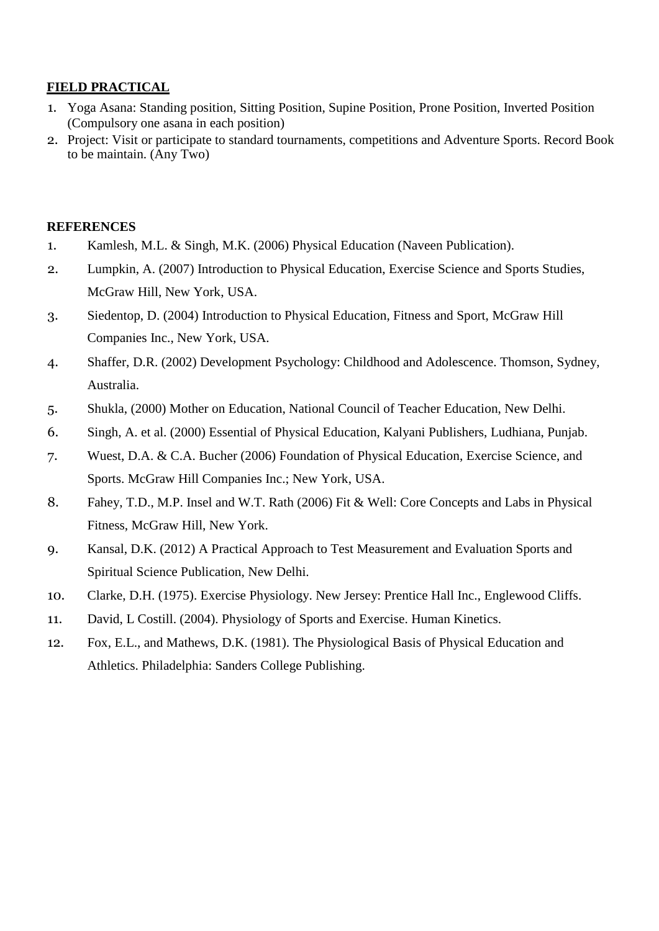### **FIELD PRACTICAL**

- 1. Yoga Asana: Standing position, Sitting Position, Supine Position, Prone Position, Inverted Position (Compulsory one asana in each position)
- 2. Project: Visit or participate to standard tournaments, competitions and Adventure Sports. Record Book to be maintain. (Any Two)

- 1. Kamlesh, M.L. & Singh, M.K. (2006) Physical Education (Naveen Publication).
- 2. Lumpkin, A. (2007) Introduction to Physical Education, Exercise Science and Sports Studies, McGraw Hill, New York, USA.
- 3. Siedentop, D. (2004) Introduction to Physical Education, Fitness and Sport, McGraw Hill Companies Inc., New York, USA.
- 4. Shaffer, D.R. (2002) Development Psychology: Childhood and Adolescence. Thomson, Sydney, Australia.
- 5. Shukla, (2000) Mother on Education, National Council of Teacher Education, New Delhi.
- 6. Singh, A. et al. (2000) Essential of Physical Education, Kalyani Publishers, Ludhiana, Punjab.
- 7. Wuest, D.A. & C.A. Bucher (2006) Foundation of Physical Education, Exercise Science, and Sports. McGraw Hill Companies Inc.; New York, USA.
- 8. Fahey, T.D., M.P. Insel and W.T. Rath (2006) Fit & Well: Core Concepts and Labs in Physical Fitness, McGraw Hill, New York.
- 9. Kansal, D.K. (2012) A Practical Approach to Test Measurement and Evaluation Sports and Spiritual Science Publication, New Delhi.
- 10. Clarke, D.H. (1975). Exercise Physiology. New Jersey: Prentice Hall Inc., Englewood Cliffs.
- 11. David, L Costill. (2004). Physiology of Sports and Exercise. Human Kinetics.
- 12. Fox, E.L., and Mathews, D.K. (1981). The Physiological Basis of Physical Education and Athletics. Philadelphia: Sanders College Publishing.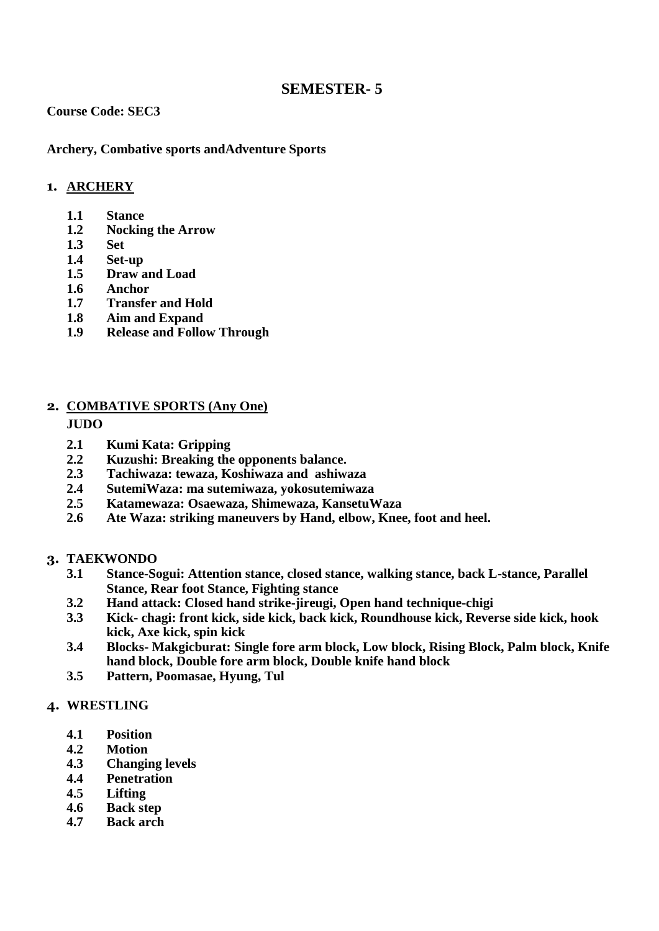#### **Course Code: SEC3**

**Archery, Combative sports andAdventure Sports**

#### **1. ARCHERY**

- **1.1 Stance**
- **1.2 Nocking the Arrow**
- **1.3 Set**
- **1.4 Set-up**
- **1.5 Draw and Load**
- **1.6 Anchor**
- **1.7 Transfer and Hold**
- **1.8 Aim and Expand**
- **1.9 Release and Follow Through**

#### **2. COMBATIVE SPORTS (Any One)**

#### **JUDO**

- **2.1 Kumi Kata: Gripping**
- **2.2 Kuzushi: Breaking the opponents balance.**
- **2.3 Tachiwaza: tewaza, Koshiwaza and ashiwaza**
- **2.4 SutemiWaza: ma sutemiwaza, yokosutemiwaza**
- **2.5 Katamewaza: Osaewaza, Shimewaza, KansetuWaza**
- **2.6 Ate Waza: striking maneuvers by Hand, elbow, Knee, foot and heel.**

#### **3. TAEKWONDO**

- **3.1 Stance-Sogui: Attention stance, closed stance, walking stance, back L-stance, Parallel Stance, Rear foot Stance, Fighting stance**
- **3.2 Hand attack: Closed hand strike-jireugi, Open hand technique-chigi**
- **3.3 Kick- chagi: front kick, side kick, back kick, Roundhouse kick, Reverse side kick, hook kick, Axe kick, spin kick**
- **3.4 Blocks- Makgicburat: Single fore arm block, Low block, Rising Block, Palm block, Knife hand block, Double fore arm block, Double knife hand block**
- **3.5 Pattern, Poomasae, Hyung, Tul**

#### **4. WRESTLING**

- **4.1 Position**
- **4.2 Motion**
- **4.3 Changing levels**
- **4.4 Penetration**
- **4.5 Lifting**
- **4.6 Back step**
- **4.7 Back arch**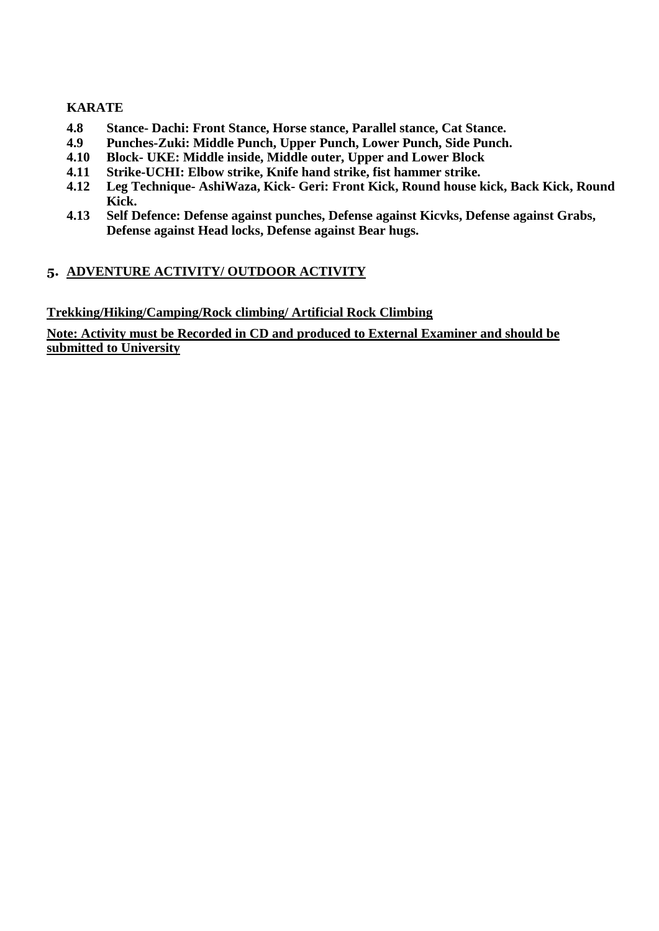#### **KARATE**

- **4.8 Stance- Dachi: Front Stance, Horse stance, Parallel stance, Cat Stance.**
- **4.9 Punches-Zuki: Middle Punch, Upper Punch, Lower Punch, Side Punch.**
- **4.10 Block- UKE: Middle inside, Middle outer, Upper and Lower Block**
- **4.11 Strike-UCHI: Elbow strike, Knife hand strike, fist hammer strike.**
- **4.12 Leg Technique- AshiWaza, Kick- Geri: Front Kick, Round house kick, Back Kick, Round Kick.**
- **4.13 Self Defence: Defense against punches, Defense against Kicvks, Defense against Grabs, Defense against Head locks, Defense against Bear hugs.**

### **5. ADVENTURE ACTIVITY/ OUTDOOR ACTIVITY**

**Trekking/Hiking/Camping/Rock climbing/ Artificial Rock Climbing**

**Note: Activity must be Recorded in CD and produced to External Examiner and should be submitted to University**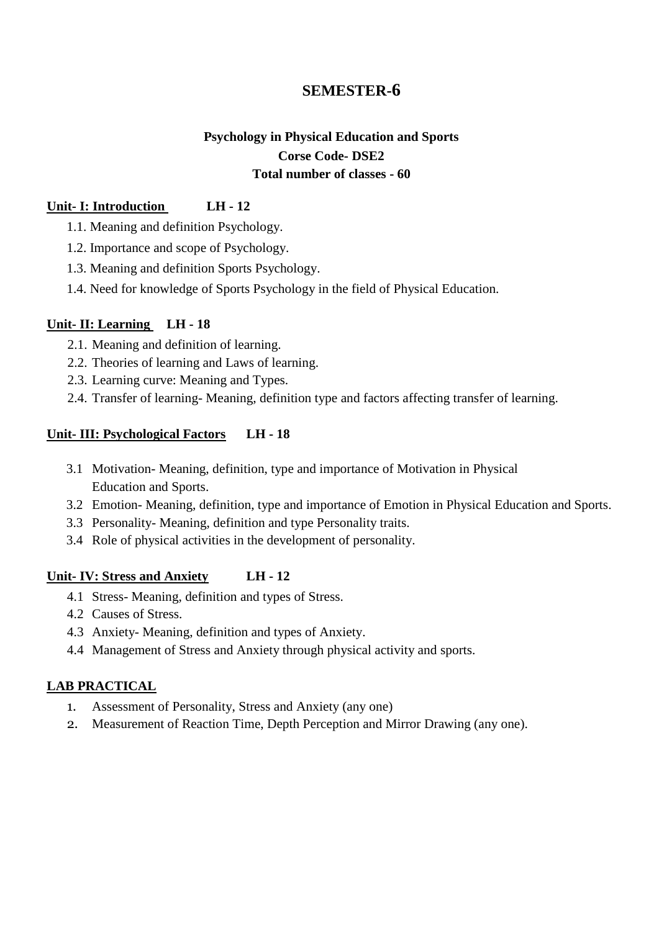### **Psychology in Physical Education and Sports Corse Code- DSE2 Total number of classes - 60**

### **Unit- I: Introduction LH - 12**

1.1. Meaning and definition Psychology.

- 1.2. Importance and scope of Psychology.
- 1.3. Meaning and definition Sports Psychology.
- 1.4. Need for knowledge of Sports Psychology in the field of Physical Education.

#### **Unit- II: Learning LH - 18**

- 2.1. Meaning and definition of learning.
- 2.2. Theories of learning and Laws of learning.
- 2.3. Learning curve: Meaning and Types.
- 2.4. Transfer of learning- Meaning, definition type and factors affecting transfer of learning.

### **Unit- III: Psychological Factors LH - 18**

- 3.1 Motivation- Meaning, definition, type and importance of Motivation in Physical Education and Sports.
- 3.2 Emotion- Meaning, definition, type and importance of Emotion in Physical Education and Sports.
- 3.3 Personality- Meaning, definition and type Personality traits.
- 3.4 Role of physical activities in the development of personality.

### **Unit- IV: Stress and Anxiety LH - 12**

- 4.1 Stress- Meaning, definition and types of Stress.
- 4.2 Causes of Stress.
- 4.3 Anxiety- Meaning, definition and types of Anxiety.
- 4.4 Management of Stress and Anxiety through physical activity and sports.

### **LAB PRACTICAL**

- 1. Assessment of Personality, Stress and Anxiety (any one)
- 2. Measurement of Reaction Time, Depth Perception and Mirror Drawing (any one).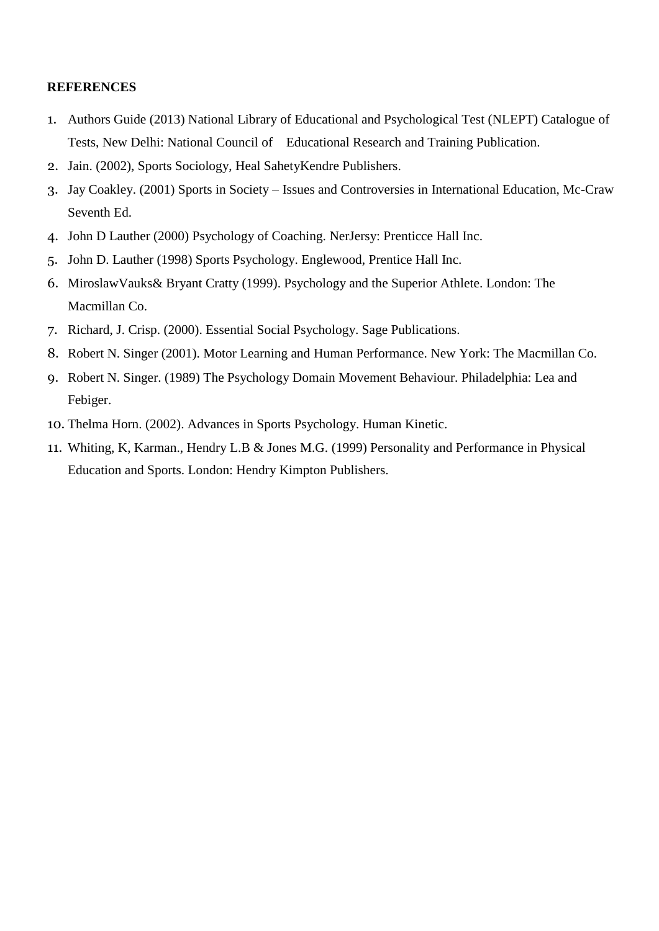- 1. Authors Guide (2013) National Library of Educational and Psychological Test (NLEPT) Catalogue of Tests, New Delhi: National Council of Educational Research and Training Publication.
- 2. Jain. (2002), Sports Sociology, Heal SahetyKendre Publishers.
- 3. Jay Coakley. (2001) Sports in Society Issues and Controversies in International Education, Mc-Craw Seventh Ed.
- 4. John D Lauther (2000) Psychology of Coaching. NerJersy: Prenticce Hall Inc.
- 5. John D. Lauther (1998) Sports Psychology. Englewood, Prentice Hall Inc.
- 6. MiroslawVauks& Bryant Cratty (1999). Psychology and the Superior Athlete. London: The Macmillan Co.
- 7. Richard, J. Crisp. (2000). Essential Social Psychology. Sage Publications.
- 8. Robert N. Singer (2001). Motor Learning and Human Performance. New York: The Macmillan Co.
- 9. Robert N. Singer. (1989) The Psychology Domain Movement Behaviour. Philadelphia: Lea and Febiger.
- 10. Thelma Horn. (2002). Advances in Sports Psychology. Human Kinetic.
- 11. Whiting, K, Karman., Hendry L.B & Jones M.G. (1999) Personality and Performance in Physical Education and Sports. London: Hendry Kimpton Publishers.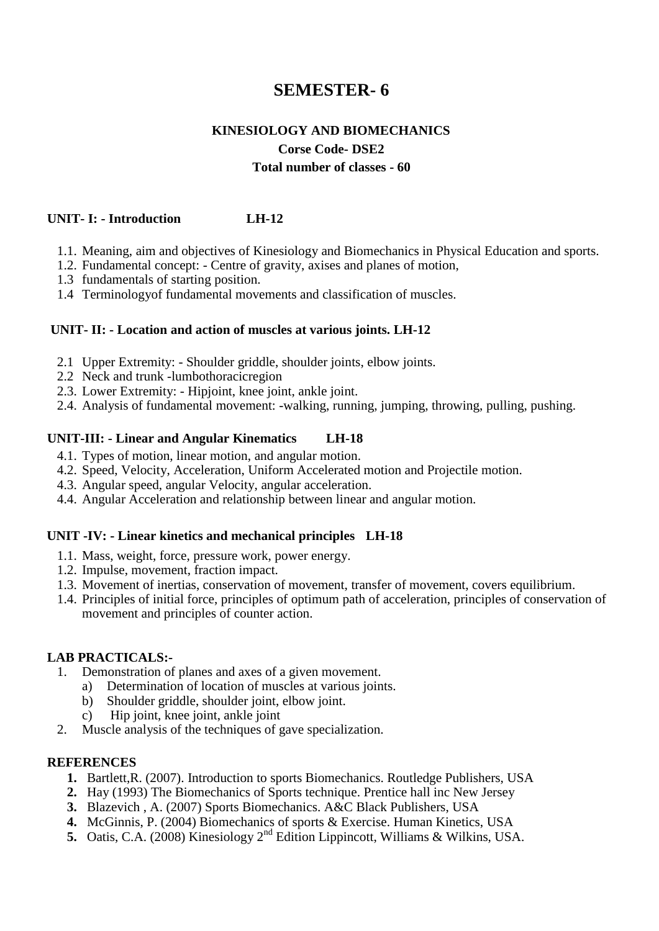### **KINESIOLOGY AND BIOMECHANICS Corse Code- DSE2 Total number of classes - 60**

#### **UNIT- I: - Introduction LH-12**

- 1.1. Meaning, aim and objectives of Kinesiology and Biomechanics in Physical Education and sports.
- 1.2. Fundamental concept: Centre of gravity, axises and planes of motion,
- 1.3 fundamentals of starting position.
- 1.4 Terminologyof fundamental movements and classification of muscles.

#### **UNIT- II: - Location and action of muscles at various joints. LH-12**

- 2.1 Upper Extremity: Shoulder griddle, shoulder joints, elbow joints.
- 2.2 Neck and trunk -lumbothoracicregion
- 2.3. Lower Extremity: Hipjoint, knee joint, ankle joint.
- 2.4. Analysis of fundamental movement: -walking, running, jumping, throwing, pulling, pushing.

#### **UNIT-III: - Linear and Angular Kinematics LH-18**

- 4.1. Types of motion, linear motion, and angular motion.
- 4.2. Speed, Velocity, Acceleration, Uniform Accelerated motion and Projectile motion.
- 4.3. Angular speed, angular Velocity, angular acceleration.
- 4.4. Angular Acceleration and relationship between linear and angular motion.

#### **UNIT -IV: - Linear kinetics and mechanical principles LH-18**

- 1.1. Mass, weight, force, pressure work, power energy.
- 1.2. Impulse, movement, fraction impact.
- 1.3. Movement of inertias, conservation of movement, transfer of movement, covers equilibrium.
- 1.4. Principles of initial force, principles of optimum path of acceleration, principles of conservation of movement and principles of counter action.

#### **LAB PRACTICALS:-**

- 1. Demonstration of planes and axes of a given movement.
	- a) Determination of location of muscles at various joints.
	- b) Shoulder griddle, shoulder joint, elbow joint.
	- c) Hip joint, knee joint, ankle joint
- 2. Muscle analysis of the techniques of gave specialization.

- **1.** Bartlett,R. (2007). Introduction to sports Biomechanics. Routledge Publishers, USA
- **2.** Hay (1993) The Biomechanics of Sports technique. Prentice hall inc New Jersey
- **3.** Blazevich , A. (2007) Sports Biomechanics. A&C Black Publishers, USA
- **4.** McGinnis, P. (2004) Biomechanics of sports & Exercise. Human Kinetics, USA
- **5.** Oatis, C.A. (2008) Kinesiology 2nd Edition Lippincott, Williams & Wilkins, USA.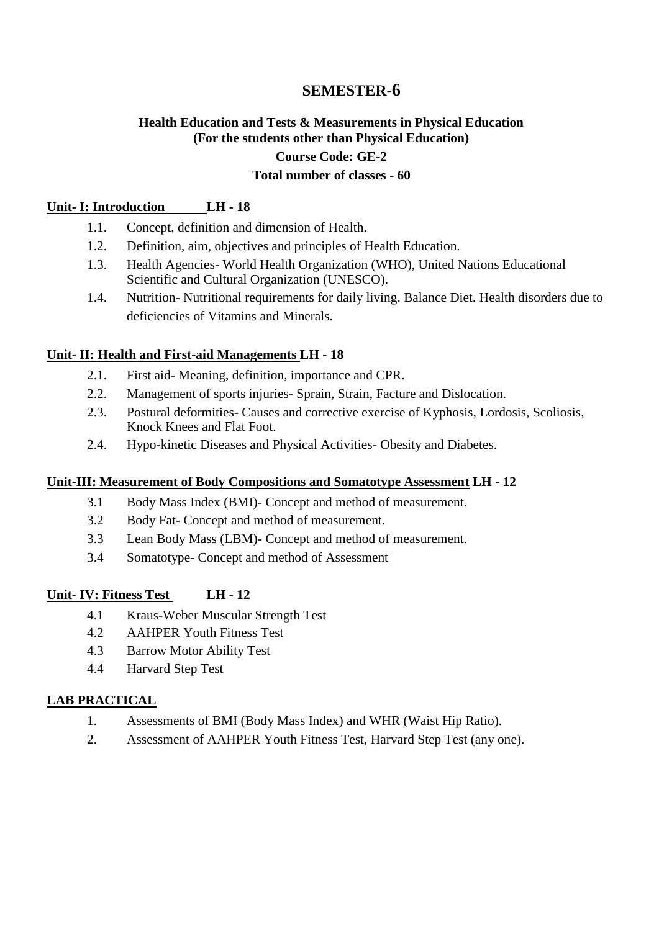### **Health Education and Tests & Measurements in Physical Education (For the students other than Physical Education) Course Code: GE-2 Total number of classes - 60**

### **Unit- I: Introduction LH - 18**

- 1.1. Concept, definition and dimension of Health.
- 1.2. Definition, aim, objectives and principles of Health Education.
- 1.3. Health Agencies- World Health Organization (WHO), United Nations Educational Scientific and Cultural Organization (UNESCO).
- 1.4. Nutrition- Nutritional requirements for daily living. Balance Diet. Health disorders due to deficiencies of Vitamins and Minerals.

#### **Unit- II: Health and First-aid Managements LH - 18**

- 2.1. First aid- Meaning, definition, importance and CPR.
- 2.2. Management of sports injuries- Sprain, Strain, Facture and Dislocation.
- 2.3. Postural deformities- Causes and corrective exercise of Kyphosis, Lordosis, Scoliosis, Knock Knees and Flat Foot.
- 2.4. Hypo-kinetic Diseases and Physical Activities- Obesity and Diabetes.

#### **Unit-III: Measurement of Body Compositions and Somatotype Assessment LH - 12**

- 3.1 Body Mass Index (BMI)- Concept and method of measurement.
- 3.2 Body Fat- Concept and method of measurement.
- 3.3 Lean Body Mass (LBM)- Concept and method of measurement.
- 3.4 Somatotype- Concept and method of Assessment

### **Unit- IV: Fitness Test LH - 12**

- 4.1 Kraus-Weber Muscular Strength Test
- 4.2 AAHPER Youth Fitness Test
- 4.3 Barrow Motor Ability Test
- 4.4 Harvard Step Test

### **LAB PRACTICAL**

- 1. Assessments of BMI (Body Mass Index) and WHR (Waist Hip Ratio).
- 2. Assessment of AAHPER Youth Fitness Test, Harvard Step Test (any one).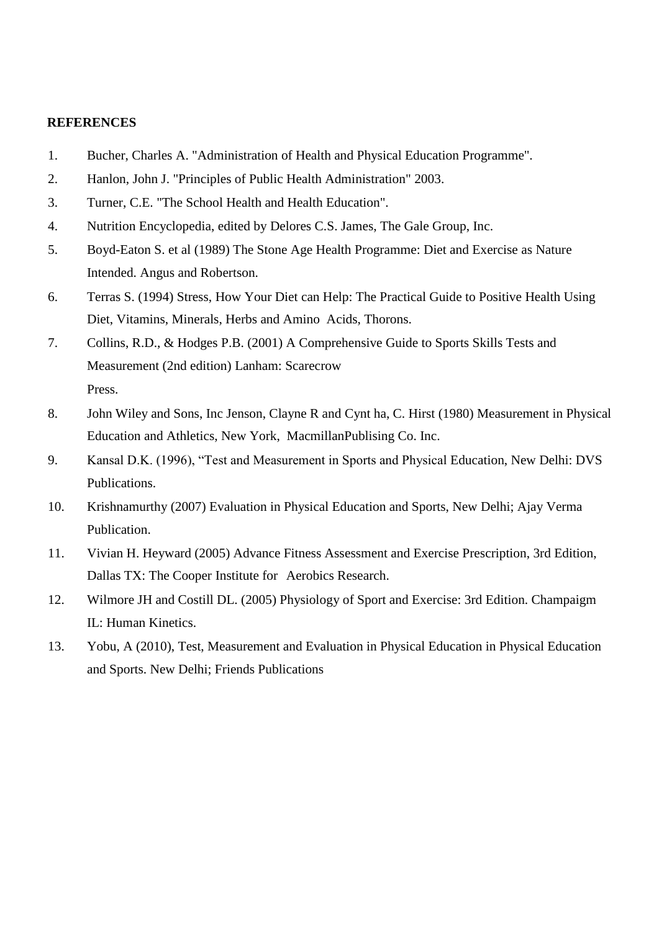- 1. Bucher, Charles A. "Administration of Health and Physical Education Programme".
- 2. Hanlon, John J. "Principles of Public Health Administration" 2003.
- 3. Turner, C.E. "The School Health and Health Education".
- 4. Nutrition Encyclopedia, edited by Delores C.S. James, The Gale Group, Inc.
- 5. Boyd-Eaton S. et al (1989) The Stone Age Health Programme: Diet and Exercise as Nature Intended. Angus and Robertson.
- 6. Terras S. (1994) Stress, How Your Diet can Help: The Practical Guide to Positive Health Using Diet, Vitamins, Minerals, Herbs and Amino Acids, Thorons.
- 7. Collins, R.D., & Hodges P.B. (2001) A Comprehensive Guide to Sports Skills Tests and Measurement (2nd edition) Lanham: Scarecrow Press.
- 8. John Wiley and Sons, Inc Jenson, Clayne R and Cynt ha, C. Hirst (1980) Measurement in Physical Education and Athletics, New York, MacmillanPublising Co. Inc.
- 9. Kansal D.K. (1996), "Test and Measurement in Sports and Physical Education, New Delhi: DVS Publications.
- 10. Krishnamurthy (2007) Evaluation in Physical Education and Sports, New Delhi; Ajay Verma Publication.
- 11. Vivian H. Heyward (2005) Advance Fitness Assessment and Exercise Prescription, 3rd Edition, Dallas TX: The Cooper Institute for Aerobics Research.
- 12. Wilmore JH and Costill DL. (2005) Physiology of Sport and Exercise: 3rd Edition. Champaigm IL: Human Kinetics.
- 13. Yobu, A (2010), Test, Measurement and Evaluation in Physical Education in Physical Education and Sports. New Delhi; Friends Publications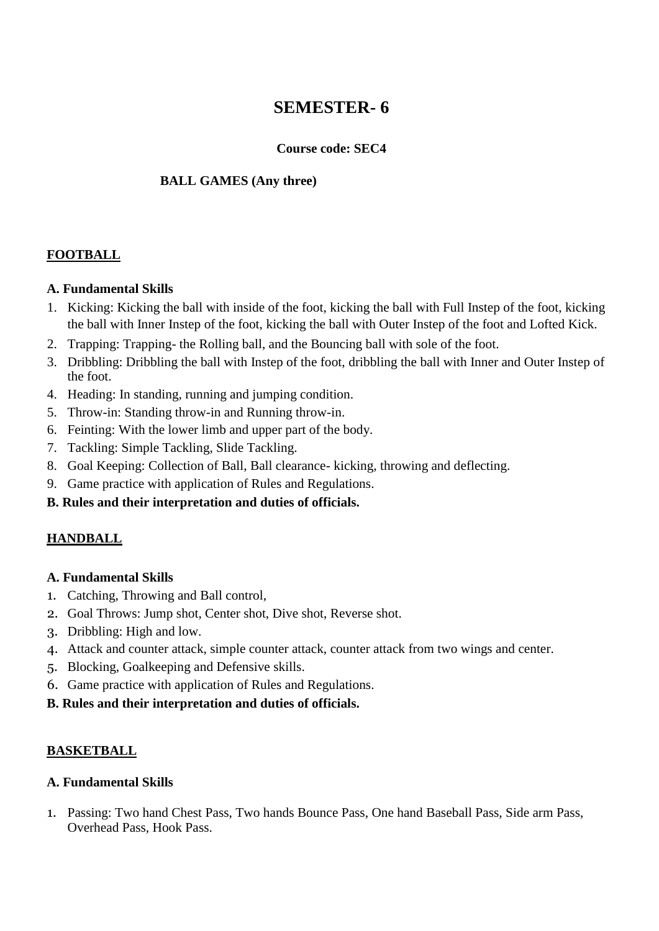### **Course code: SEC4**

### **BALL GAMES (Any three)**

### **FOOTBALL**

### **A. Fundamental Skills**

- 1. Kicking: Kicking the ball with inside of the foot, kicking the ball with Full Instep of the foot, kicking the ball with Inner Instep of the foot, kicking the ball with Outer Instep of the foot and Lofted Kick.
- 2. Trapping: Trapping- the Rolling ball, and the Bouncing ball with sole of the foot.
- 3. Dribbling: Dribbling the ball with Instep of the foot, dribbling the ball with Inner and Outer Instep of the foot.
- 4. Heading: In standing, running and jumping condition.
- 5. Throw-in: Standing throw-in and Running throw-in.
- 6. Feinting: With the lower limb and upper part of the body.
- 7. Tackling: Simple Tackling, Slide Tackling.
- 8. Goal Keeping: Collection of Ball, Ball clearance- kicking, throwing and deflecting.
- 9. Game practice with application of Rules and Regulations.

### **B. Rules and their interpretation and duties of officials.**

### **HANDBALL**

### **A. Fundamental Skills**

- 1. Catching, Throwing and Ball control,
- 2. Goal Throws: Jump shot, Center shot, Dive shot, Reverse shot.
- 3. Dribbling: High and low.
- 4. Attack and counter attack, simple counter attack, counter attack from two wings and center.
- 5. Blocking, Goalkeeping and Defensive skills.
- 6. Game practice with application of Rules and Regulations.
- **B. Rules and their interpretation and duties of officials.**

### **BASKETBALL**

### **A. Fundamental Skills**

1. Passing: Two hand Chest Pass, Two hands Bounce Pass, One hand Baseball Pass, Side arm Pass, Overhead Pass, Hook Pass.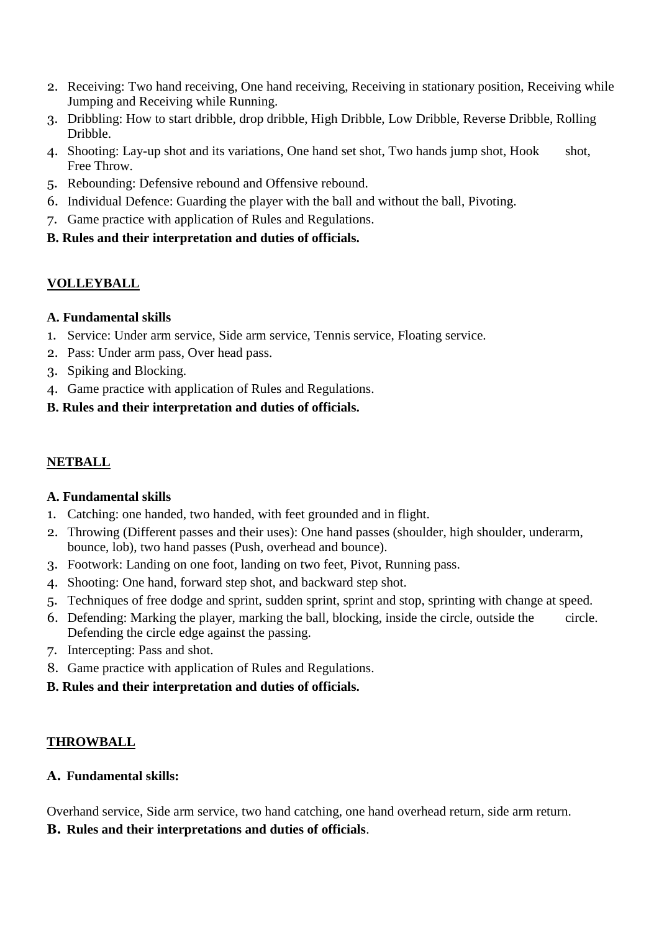- 2. Receiving: Two hand receiving, One hand receiving, Receiving in stationary position, Receiving while Jumping and Receiving while Running.
- 3. Dribbling: How to start dribble, drop dribble, High Dribble, Low Dribble, Reverse Dribble, Rolling Dribble.
- 4. Shooting: Lay-up shot and its variations, One hand set shot, Two hands jump shot, Hook shot, Free Throw.
- 5. Rebounding: Defensive rebound and Offensive rebound.
- 6. Individual Defence: Guarding the player with the ball and without the ball, Pivoting.
- 7. Game practice with application of Rules and Regulations.
- **B. Rules and their interpretation and duties of officials.**

### **VOLLEYBALL**

### **A. Fundamental skills**

- 1. Service: Under arm service, Side arm service, Tennis service, Floating service.
- 2. Pass: Under arm pass, Over head pass.
- 3. Spiking and Blocking.
- 4. Game practice with application of Rules and Regulations.
- **B. Rules and their interpretation and duties of officials.**

### **NETBALL**

### **A. Fundamental skills**

- 1. Catching: one handed, two handed, with feet grounded and in flight.
- 2. Throwing (Different passes and their uses): One hand passes (shoulder, high shoulder, underarm, bounce, lob), two hand passes (Push, overhead and bounce).
- 3. Footwork: Landing on one foot, landing on two feet, Pivot, Running pass.
- 4. Shooting: One hand, forward step shot, and backward step shot.
- 5. Techniques of free dodge and sprint, sudden sprint, sprint and stop, sprinting with change at speed.
- 6. Defending: Marking the player, marking the ball, blocking, inside the circle, outside the circle. Defending the circle edge against the passing.
- 7. Intercepting: Pass and shot.
- 8. Game practice with application of Rules and Regulations.

### **B. Rules and their interpretation and duties of officials.**

### **THROWBALL**

### **A. Fundamental skills:**

Overhand service, Side arm service, two hand catching, one hand overhead return, side arm return.

**B. Rules and their interpretations and duties of officials**.